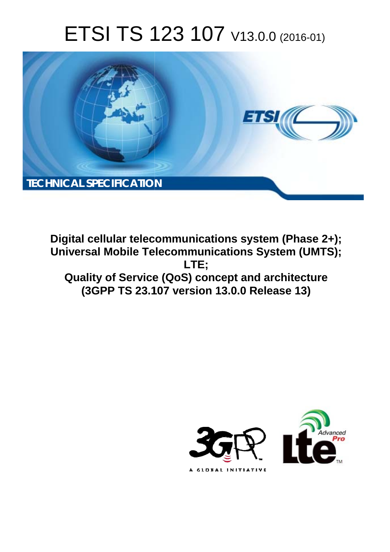# ETSI TS 123 107 V13.0.0 (2016-01)



**Digital cellular telecommunications system (Phase 2+); Universal Mobile Tel elecommunications System ( (UMTS); Quality of Service ce (QoS) concept and architec tecture (3GPP TS 23.1 .107 version 13.0.0 Release 13 13) LTE;** 

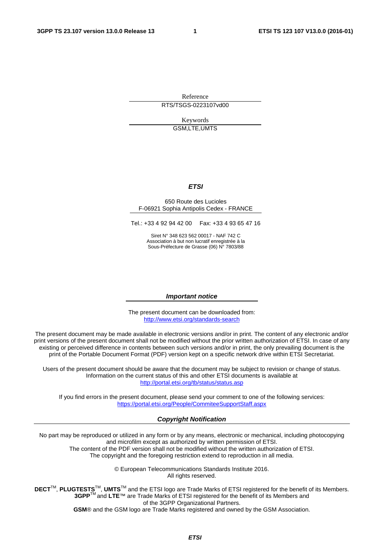Reference RTS/TSGS-0223107vd00

> Keywords GSM,LTE,UMTS

#### *ETSI*

#### 650 Route des Lucioles F-06921 Sophia Antipolis Cedex - FRANCE

Tel.: +33 4 92 94 42 00 Fax: +33 4 93 65 47 16

Siret N° 348 623 562 00017 - NAF 742 C Association à but non lucratif enregistrée à la Sous-Préfecture de Grasse (06) N° 7803/88

#### *Important notice*

The present document can be downloaded from: <http://www.etsi.org/standards-search>

The present document may be made available in electronic versions and/or in print. The content of any electronic and/or print versions of the present document shall not be modified without the prior written authorization of ETSI. In case of any existing or perceived difference in contents between such versions and/or in print, the only prevailing document is the print of the Portable Document Format (PDF) version kept on a specific network drive within ETSI Secretariat.

Users of the present document should be aware that the document may be subject to revision or change of status. Information on the current status of this and other ETSI documents is available at <http://portal.etsi.org/tb/status/status.asp>

If you find errors in the present document, please send your comment to one of the following services: <https://portal.etsi.org/People/CommiteeSupportStaff.aspx>

#### *Copyright Notification*

No part may be reproduced or utilized in any form or by any means, electronic or mechanical, including photocopying and microfilm except as authorized by written permission of ETSI.

The content of the PDF version shall not be modified without the written authorization of ETSI. The copyright and the foregoing restriction extend to reproduction in all media.

> © European Telecommunications Standards Institute 2016. All rights reserved.

**DECT**TM, **PLUGTESTS**TM, **UMTS**TM and the ETSI logo are Trade Marks of ETSI registered for the benefit of its Members. **3GPP**TM and **LTE**™ are Trade Marks of ETSI registered for the benefit of its Members and of the 3GPP Organizational Partners.

**GSM**® and the GSM logo are Trade Marks registered and owned by the GSM Association.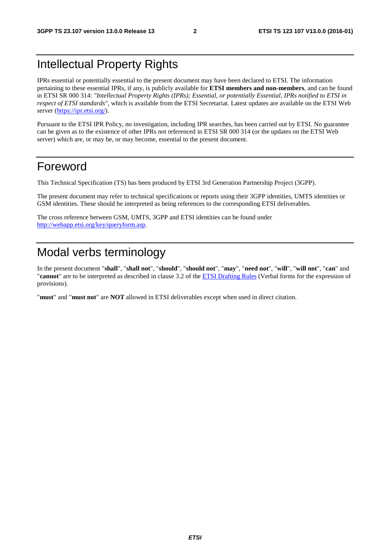# Intellectual Property Rights

IPRs essential or potentially essential to the present document may have been declared to ETSI. The information pertaining to these essential IPRs, if any, is publicly available for **ETSI members and non-members**, and can be found in ETSI SR 000 314: *"Intellectual Property Rights (IPRs); Essential, or potentially Essential, IPRs notified to ETSI in respect of ETSI standards"*, which is available from the ETSI Secretariat. Latest updates are available on the ETSI Web server [\(https://ipr.etsi.org/](https://ipr.etsi.org/)).

Pursuant to the ETSI IPR Policy, no investigation, including IPR searches, has been carried out by ETSI. No guarantee can be given as to the existence of other IPRs not referenced in ETSI SR 000 314 (or the updates on the ETSI Web server) which are, or may be, or may become, essential to the present document.

# Foreword

This Technical Specification (TS) has been produced by ETSI 3rd Generation Partnership Project (3GPP).

The present document may refer to technical specifications or reports using their 3GPP identities, UMTS identities or GSM identities. These should be interpreted as being references to the corresponding ETSI deliverables.

The cross reference between GSM, UMTS, 3GPP and ETSI identities can be found under [http://webapp.etsi.org/key/queryform.asp.](http://webapp.etsi.org/key/queryform.asp)

# Modal verbs terminology

In the present document "**shall**", "**shall not**", "**should**", "**should not**", "**may**", "**need not**", "**will**", "**will not**", "**can**" and "**cannot**" are to be interpreted as described in clause 3.2 of the [ETSI Drafting Rules](http://portal.etsi.org/Help/editHelp!/Howtostart/ETSIDraftingRules.aspx) (Verbal forms for the expression of provisions).

"**must**" and "**must not**" are **NOT** allowed in ETSI deliverables except when used in direct citation.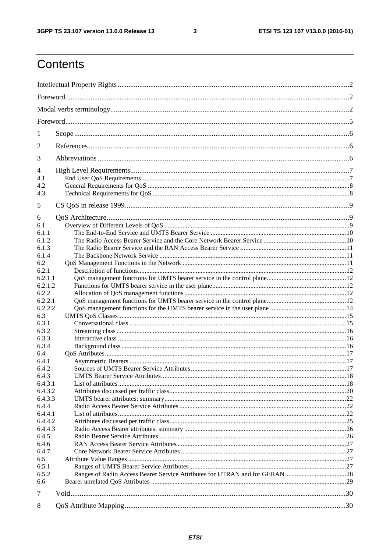$\mathbf{3}$ 

# Contents

| 1                |  |
|------------------|--|
| 2                |  |
| 3                |  |
| 4                |  |
| 4.1              |  |
| 4.2              |  |
| 4.3              |  |
| 5                |  |
| 6                |  |
| 6.1              |  |
| 6.1.1            |  |
| 6.1.2            |  |
| 6.1.3            |  |
| 6.1.4            |  |
| 6.2              |  |
| 6.2.1            |  |
| 6.2.1.1          |  |
| 6.2.1.2          |  |
| 6.2.2            |  |
| 6.2.2.1          |  |
| 6.2.2.2          |  |
| 6.3              |  |
| 6.3.1            |  |
| 6.3.2            |  |
| 6.3.3            |  |
| 6.3.4            |  |
| 6.4              |  |
| 6.4.1            |  |
| 6.4.2            |  |
| 6.4.3            |  |
| 6.4.3.1          |  |
| 6.4.3.2          |  |
| 6.4.3.3<br>6.4.4 |  |
| 6.4.4.1          |  |
| 6.4.4.2          |  |
| 6.4.4.3          |  |
| 6.4.5            |  |
| 6.4.6            |  |
| 6.4.7            |  |
| 6.5              |  |
| 6.5.1            |  |
| 6.5.2            |  |
| 6.6              |  |
| 7                |  |
| 8                |  |
|                  |  |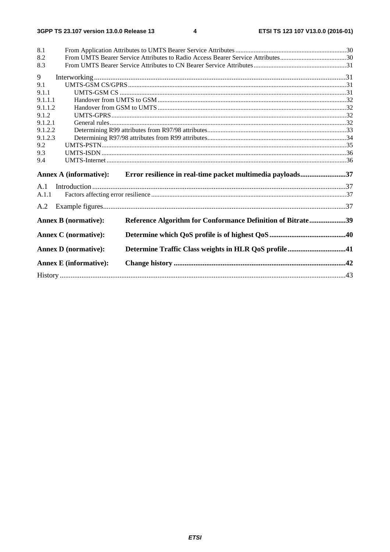$\overline{\mathbf{4}}$ 

| 8.1     |                               |                                                             |  |
|---------|-------------------------------|-------------------------------------------------------------|--|
| 8.2     |                               |                                                             |  |
| 8.3     |                               |                                                             |  |
| 9       |                               |                                                             |  |
| 9.1     |                               |                                                             |  |
| 9.1.1   |                               |                                                             |  |
| 9.1.1.1 |                               |                                                             |  |
| 9.1.1.2 |                               |                                                             |  |
| 9.1.2   |                               |                                                             |  |
| 9.1.2.1 |                               |                                                             |  |
| 9.1.2.2 |                               |                                                             |  |
| 9.1.2.3 |                               |                                                             |  |
| 9.2     |                               |                                                             |  |
| 9.3     |                               |                                                             |  |
| 9.4     |                               |                                                             |  |
|         | Annex A (informative):        | Error resilience in real-time packet multimedia payloads37  |  |
| A.1     |                               |                                                             |  |
| A.1.1   |                               |                                                             |  |
| A.2     |                               |                                                             |  |
|         | <b>Annex B</b> (normative):   | Reference Algorithm for Conformance Definition of Bitrate39 |  |
|         | <b>Annex C</b> (normative):   |                                                             |  |
|         | <b>Annex D</b> (normative):   | Determine Traffic Class weights in HLR QoS profile41        |  |
|         | <b>Annex E</b> (informative): |                                                             |  |
|         |                               |                                                             |  |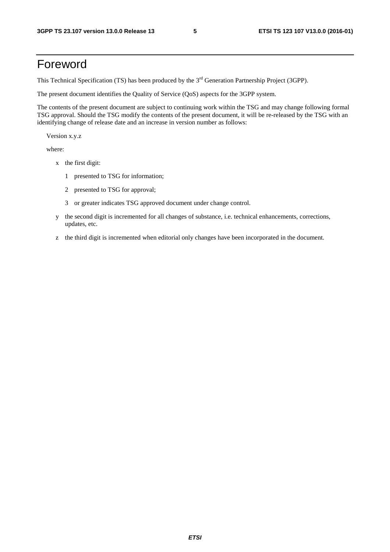# Foreword

This Technical Specification (TS) has been produced by the 3<sup>rd</sup> Generation Partnership Project (3GPP).

The present document identifies the Quality of Service (QoS) aspects for the 3GPP system.

The contents of the present document are subject to continuing work within the TSG and may change following formal TSG approval. Should the TSG modify the contents of the present document, it will be re-released by the TSG with an identifying change of release date and an increase in version number as follows:

Version x.y.z

where:

- x the first digit:
	- 1 presented to TSG for information;
	- 2 presented to TSG for approval;
	- 3 or greater indicates TSG approved document under change control.
- y the second digit is incremented for all changes of substance, i.e. technical enhancements, corrections, updates, etc.
- z the third digit is incremented when editorial only changes have been incorporated in the document.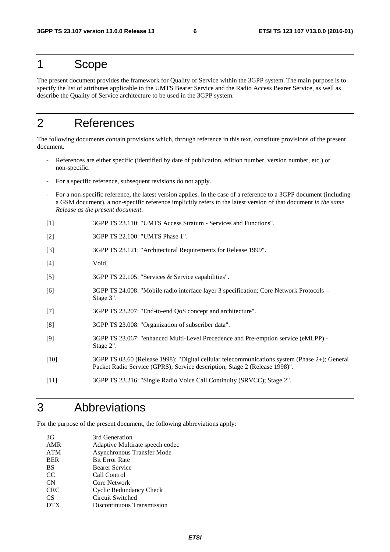# 1 Scope

The present document provides the framework for Quality of Service within the 3GPP system. The main purpose is to specify the list of attributes applicable to the UMTS Bearer Service and the Radio Access Bearer Service, as well as describe the Quality of Service architecture to be used in the 3GPP system.

# 2 References

The following documents contain provisions which, through reference in this text, constitute provisions of the present document.

- References are either specific (identified by date of publication, edition number, version number, etc.) or non-specific.
- For a specific reference, subsequent revisions do not apply.
- For a non-specific reference, the latest version applies. In the case of a reference to a 3GPP document (including a GSM document), a non-specific reference implicitly refers to the latest version of that document *in the same Release as the present document*.
- [1] 3GPP TS 23.110: "UMTS Access Stratum Services and Functions".
- [2] 3GPP TS 22.100: "UMTS Phase 1".
- [3] 3GPP TS 23.121: "Architectural Requirements for Release 1999".
- [4] Void.
- [5] 3GPP TS 22.105: "Services & Service capabilities".
- [6] 3GPP TS 24.008: "Mobile radio interface layer 3 specification; Core Network Protocols Stage 3".
- [7] 3GPP TS 23.207: "End-to-end QoS concept and architecture".
- [8] 3GPP TS 23.008: "Organization of subscriber data".
- [9] 3GPP TS 23.067: "enhanced Multi-Level Precedence and Pre-emption service (eMLPP) Stage 2".
- [10] 3GPP TS 03.60 (Release 1998): "Digital cellular telecommunications system (Phase 2+); General Packet Radio Service (GPRS); Service description; Stage 2 (Release 1998)".
- [11] 3GPP TS 23.216: "Single Radio Voice Call Continuity (SRVCC); Stage 2".

# 3 Abbreviations

For the purpose of the present document, the following abbreviations apply:

| 3G            | 3rd Generation                  |
|---------------|---------------------------------|
| <b>AMR</b>    | Adaptive Multirate speech codec |
| <b>ATM</b>    | Asynchronous Transfer Mode      |
| <b>BER</b>    | <b>Bit Error Rate</b>           |
| <b>BS</b>     | <b>Bearer Service</b>           |
| <sub>CC</sub> | Call Control                    |
| <b>CN</b>     | Core Network                    |
| <b>CRC</b>    | Cyclic Redundancy Check         |
| <b>CS</b>     | Circuit Switched                |
| <b>DTX</b>    | Discontinuous Transmission      |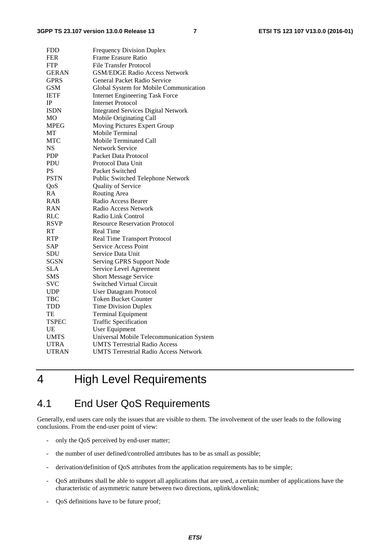| <b>FDD</b>   | <b>Frequency Division Duplex</b>             |
|--------------|----------------------------------------------|
| <b>FER</b>   | Frame Erasure Ratio                          |
| <b>FTP</b>   | File Transfer Protocol                       |
| <b>GERAN</b> | <b>GSM/EDGE Radio Access Network</b>         |
| <b>GPRS</b>  | General Packet Radio Service                 |
| GSM          | Global System for Mobile Communication       |
| <b>IETF</b>  | <b>Internet Engineering Task Force</b>       |
| IP           | <b>Internet Protocol</b>                     |
| <b>ISDN</b>  | <b>Integrated Services Digital Network</b>   |
| MO           | Mobile Originating Call                      |
| <b>MPEG</b>  | Moving Pictures Expert Group                 |
| MT           | Mobile Terminal                              |
| <b>MTC</b>   | Mobile Terminated Call                       |
| NS           | <b>Network Service</b>                       |
| <b>PDP</b>   | Packet Data Protocol                         |
| PDU          | Protocol Data Unit                           |
| <b>PS</b>    | Packet Switched                              |
| <b>PSTN</b>  | Public Switched Telephone Network            |
| QoS          | Quality of Service                           |
| RA           | Routing Area                                 |
| <b>RAB</b>   | Radio Access Bearer                          |
| <b>RAN</b>   | Radio Access Network                         |
| <b>RLC</b>   | Radio Link Control                           |
| <b>RSVP</b>  | <b>Resource Reservation Protocol</b>         |
| RT           | <b>Real Time</b>                             |
| <b>RTP</b>   | Real Time Transport Protocol                 |
| SAP          | <b>Service Access Point</b>                  |
| SDU          | Service Data Unit                            |
| SGSN         | Serving GPRS Support Node                    |
| <b>SLA</b>   | Service Level Agreement                      |
| <b>SMS</b>   | <b>Short Message Service</b>                 |
| <b>SVC</b>   | <b>Switched Virtual Circuit</b>              |
| <b>UDP</b>   | <b>User Datagram Protocol</b>                |
| <b>TBC</b>   | Token Bucket Counter                         |
| <b>TDD</b>   | Time Division Duplex                         |
| TE           | <b>Terminal Equipment</b>                    |
| <b>TSPEC</b> | <b>Traffic Specification</b>                 |
| UE           | <b>User Equipment</b>                        |
| <b>UMTS</b>  | Universal Mobile Telecommunication System    |
| <b>UTRA</b>  | <b>UMTS Terrestrial Radio Access</b>         |
| <b>UTRAN</b> | <b>UMTS Terrestrial Radio Access Network</b> |

# 4 High Level Requirements

# 4.1 End User QoS Requirements

Generally, end users care only the issues that are visible to them. The involvement of the user leads to the following conclusions. From the end-user point of view:

- only the QoS perceived by end-user matter;
- the number of user defined/controlled attributes has to be as small as possible;
- derivation/definition of QoS attributes from the application requirements has to be simple;
- QoS attributes shall be able to support all applications that are used, a certain number of applications have the characteristic of asymmetric nature between two directions, uplink/downlink;
- QoS definitions have to be future proof;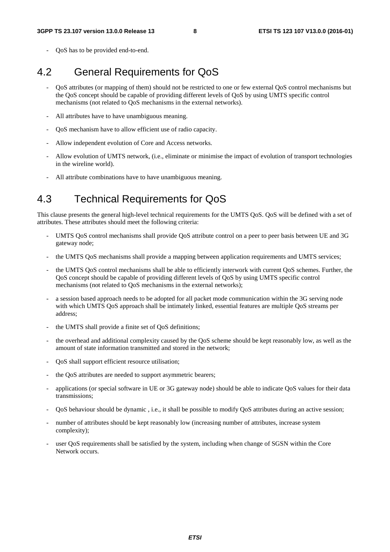OoS has to be provided end-to-end.

# 4.2 General Requirements for QoS

- QoS attributes (or mapping of them) should not be restricted to one or few external QoS control mechanisms but the QoS concept should be capable of providing different levels of QoS by using UMTS specific control mechanisms (not related to QoS mechanisms in the external networks).
- All attributes have to have unambiguous meaning.
- QoS mechanism have to allow efficient use of radio capacity.
- Allow independent evolution of Core and Access networks.
- Allow evolution of UMTS network, (i.e., eliminate or minimise the impact of evolution of transport technologies in the wireline world).
- All attribute combinations have to have unambiguous meaning.

# 4.3 Technical Requirements for QoS

This clause presents the general high-level technical requirements for the UMTS QoS. QoS will be defined with a set of attributes. These attributes should meet the following criteria:

- UMTS QoS control mechanisms shall provide QoS attribute control on a peer to peer basis between UE and 3G gateway node;
- the UMTS QoS mechanisms shall provide a mapping between application requirements and UMTS services;
- the UMTS QoS control mechanisms shall be able to efficiently interwork with current QoS schemes. Further, the QoS concept should be capable of providing different levels of QoS by using UMTS specific control mechanisms (not related to QoS mechanisms in the external networks);
- a session based approach needs to be adopted for all packet mode communication within the 3G serving node with which UMTS QoS approach shall be intimately linked, essential features are multiple QoS streams per address;
- the UMTS shall provide a finite set of QoS definitions;
- the overhead and additional complexity caused by the QoS scheme should be kept reasonably low, as well as the amount of state information transmitted and stored in the network;
- QoS shall support efficient resource utilisation;
- the QoS attributes are needed to support asymmetric bearers;
- applications (or special software in UE or 3G gateway node) should be able to indicate QoS values for their data transmissions;
- QoS behaviour should be dynamic , i.e., it shall be possible to modify QoS attributes during an active session;
- number of attributes should be kept reasonably low (increasing number of attributes, increase system complexity);
- user OoS requirements shall be satisfied by the system, including when change of SGSN within the Core Network occurs.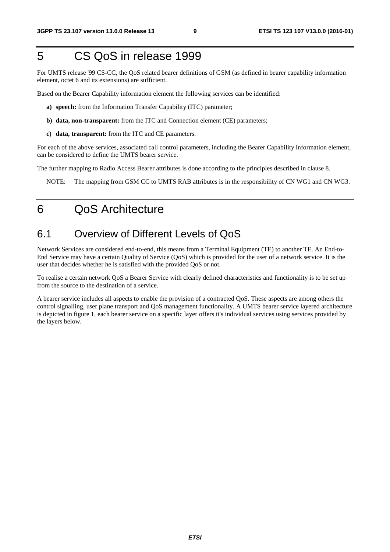# 5 CS QoS in release 1999

For UMTS release '99 CS-CC, the QoS related bearer definitions of GSM (as defined in bearer capability information element, octet 6 and its extensions) are sufficient.

Based on the Bearer Capability information element the following services can be identified:

- **a) speech:** from the Information Transfer Capability (ITC) parameter;
- **b) data, non-transparent:** from the ITC and Connection element (CE) parameters;
- **c) data, transparent:** from the ITC and CE parameters.

For each of the above services, associated call control parameters, including the Bearer Capability information element, can be considered to define the UMTS bearer service.

The further mapping to Radio Access Bearer attributes is done according to the principles described in clause 8.

NOTE: The mapping from GSM CC to UMTS RAB attributes is in the responsibility of CN WG1 and CN WG3.

# 6 QoS Architecture

# 6.1 Overview of Different Levels of QoS

Network Services are considered end-to-end, this means from a Terminal Equipment (TE) to another TE. An End-to-End Service may have a certain Quality of Service (QoS) which is provided for the user of a network service. It is the user that decides whether he is satisfied with the provided QoS or not.

To realise a certain network QoS a Bearer Service with clearly defined characteristics and functionality is to be set up from the source to the destination of a service.

A bearer service includes all aspects to enable the provision of a contracted QoS. These aspects are among others the control signalling, user plane transport and QoS management functionality. A UMTS bearer service layered architecture is depicted in figure 1, each bearer service on a specific layer offers it's individual services using services provided by the layers below.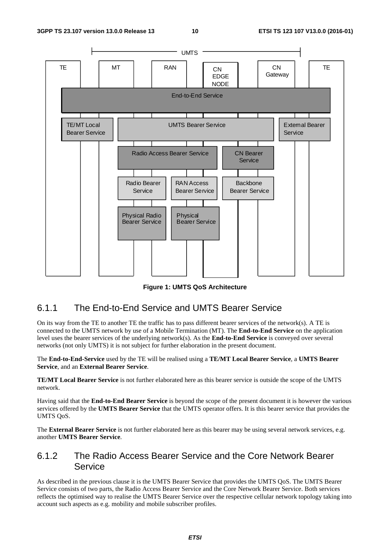

**Figure 1: UMTS QoS Architecture** 

### 6.1.1 The End-to-End Service and UMTS Bearer Service

On its way from the TE to another TE the traffic has to pass different bearer services of the network(s). A TE is connected to the UMTS network by use of a Mobile Termination (MT). The **End-to-End Service** on the application level uses the bearer services of the underlying network(s). As the **End-to-End Service** is conveyed over several networks (not only UMTS) it is not subject for further elaboration in the present document.

The **End-to-End-Service** used by the TE will be realised using a **TE/MT Local Bearer Service**, a **UMTS Bearer Service**, and an **External Bearer Service**.

**TE/MT Local Bearer Service** is not further elaborated here as this bearer service is outside the scope of the UMTS network.

Having said that the **End-to-End Bearer Service** is beyond the scope of the present document it is however the various services offered by the **UMTS Bearer Service** that the UMTS operator offers. It is this bearer service that provides the UMTS QoS.

The **External Bearer Service** is not further elaborated here as this bearer may be using several network services, e.g. another **UMTS Bearer Service**.

### 6.1.2 The Radio Access Bearer Service and the Core Network Bearer **Service**

As described in the previous clause it is the UMTS Bearer Service that provides the UMTS QoS. The UMTS Bearer Service consists of two parts, the Radio Access Bearer Service and the Core Network Bearer Service. Both services reflects the optimised way to realise the UMTS Bearer Service over the respective cellular network topology taking into account such aspects as e.g. mobility and mobile subscriber profiles.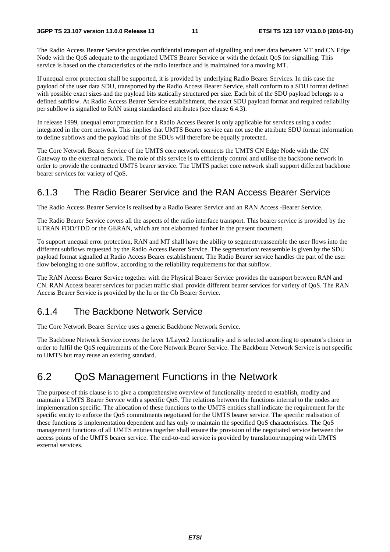The Radio Access Bearer Service provides confidential transport of signalling and user data between MT and CN Edge Node with the QoS adequate to the negotiated UMTS Bearer Service or with the default QoS for signalling. This service is based on the characteristics of the radio interface and is maintained for a moving MT.

If unequal error protection shall be supported, it is provided by underlying Radio Bearer Services. In this case the payload of the user data SDU, transported by the Radio Access Bearer Service, shall conform to a SDU format defined with possible exact sizes and the payload bits statically structured per size. Each bit of the SDU payload belongs to a defined subflow. At Radio Access Bearer Service establishment, the exact SDU payload format and required reliability per subflow is signalled to RAN using standardised attributes (see clause 6.4.3).

In release 1999, unequal error protection for a Radio Access Bearer is only applicable for services using a codec integrated in the core network. This implies that UMTS Bearer service can not use the attribute SDU format information to define subflows and the payload bits of the SDUs will therefore be equally protected.

The Core Network Bearer Service of the UMTS core network connects the UMTS CN Edge Node with the CN Gateway to the external network. The role of this service is to efficiently control and utilise the backbone network in order to provide the contracted UMTS bearer service. The UMTS packet core network shall support different backbone bearer services for variety of QoS.

### 6.1.3 The Radio Bearer Service and the RAN Access Bearer Service

The Radio Access Bearer Service is realised by a Radio Bearer Service and an RAN Access -Bearer Service.

The Radio Bearer Service covers all the aspects of the radio interface transport. This bearer service is provided by the UTRAN FDD/TDD or the GERAN, which are not elaborated further in the present document.

To support unequal error protection, RAN and MT shall have the ability to segment/reassemble the user flows into the different subflows requested by the Radio Access Bearer Service. The segmentation/ reassemble is given by the SDU payload format signalled at Radio Access Bearer establishment. The Radio Bearer service handles the part of the user flow belonging to one subflow, according to the reliability requirements for that subflow.

The RAN Access Bearer Service together with the Physical Bearer Service provides the transport between RAN and CN. RAN Access bearer services for packet traffic shall provide different bearer services for variety of QoS. The RAN Access Bearer Service is provided by the Iu or the Gb Bearer Service.

### 6.1.4 The Backbone Network Service

The Core Network Bearer Service uses a generic Backbone Network Service.

The Backbone Network Service covers the layer 1/Layer2 functionality and is selected according to operator's choice in order to fulfil the QoS requirements of the Core Network Bearer Service. The Backbone Network Service is not specific to UMTS but may reuse an existing standard.

# 6.2 QoS Management Functions in the Network

The purpose of this clause is to give a comprehensive overview of functionality needed to establish, modify and maintain a UMTS Bearer Service with a specific QoS. The relations between the functions internal to the nodes are implementation specific. The allocation of these functions to the UMTS entities shall indicate the requirement for the specific entity to enforce the QoS commitments negotiated for the UMTS bearer service. The specific realisation of these functions is implementation dependent and has only to maintain the specified QoS characteristics. The QoS management functions of all UMTS entities together shall ensure the provision of the negotiated service between the access points of the UMTS bearer service. The end-to-end service is provided by translation/mapping with UMTS external services.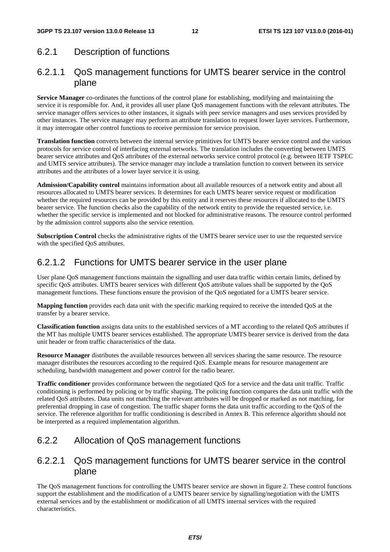### 6.2.1 Description of functions

### 6.2.1.1 QoS management functions for UMTS bearer service in the control plane

**Service Manager** co-ordinates the functions of the control plane for establishing, modifying and maintaining the service it is responsible for. And, it provides all user plane QoS management functions with the relevant attributes. The service manager offers services to other instances, it signals with peer service managers and uses services provided by other instances. The service manager may perform an attribute translation to request lower layer services. Furthermore, it may interrogate other control functions to receive permission for service provision.

**Translation function** converts between the internal service primitives for UMTS bearer service control and the various protocols for service control of interfacing external networks. The translation includes the converting between UMTS bearer service attributes and QoS attributes of the external networks service control protocol (e.g. between IETF TSPEC and UMTS service attributes). The service manager may include a translation function to convert between its service attributes and the attributes of a lower layer service it is using.

**Admission/Capability control** maintains information about all available resources of a network entity and about all resources allocated to UMTS bearer services. It determines for each UMTS bearer service request or modification whether the required resources can be provided by this entity and it reserves these resources if allocated to the UMTS bearer service. The function checks also the capability of the network entity to provide the requested service, i.e. whether the specific service is implemented and not blocked for administrative reasons. The resource control performed by the admission control supports also the service retention.

**Subscription Control** checks the administrative rights of the UMTS bearer service user to use the requested service with the specified QoS attributes.

### 6.2.1.2 Functions for UMTS bearer service in the user plane

User plane QoS management functions maintain the signalling and user data traffic within certain limits, defined by specific QoS attributes. UMTS bearer services with different QoS attribute values shall be supported by the QoS management functions. These functions ensure the provision of the QoS negotiated for a UMTS bearer service.

**Mapping function** provides each data unit with the specific marking required to receive the intended OoS at the transfer by a bearer service.

**Classification function** assigns data units to the established services of a MT according to the related QoS attributes if the MT has multiple UMTS bearer services established. The appropriate UMTS bearer service is derived from the data unit header or from traffic characteristics of the data.

**Resource Manager** distributes the available resources between all services sharing the same resource. The resource manager distributes the resources according to the required QoS. Example means for resource management are scheduling, bandwidth management and power control for the radio bearer.

**Traffic conditioner** provides conformance between the negotiated QoS for a service and the data unit traffic. Traffic conditioning is performed by policing or by traffic shaping. The policing function compares the data unit traffic with the related QoS attributes. Data units not matching the relevant attributes will be dropped or marked as not matching, for preferential dropping in case of congestion. The traffic shaper forms the data unit traffic according to the QoS of the service. The reference algorithm for traffic conditioning is described in Annex B. This reference algorithm should not be interpreted as a required implementation algorithm.

### 6.2.2 Allocation of QoS management functions

### 6.2.2.1 QoS management functions for UMTS bearer service in the control plane

The QoS management functions for controlling the UMTS bearer service are shown in figure 2. These control functions support the establishment and the modification of a UMTS bearer service by signalling/negotiation with the UMTS external services and by the establishment or modification of all UMTS internal services with the required characteristics.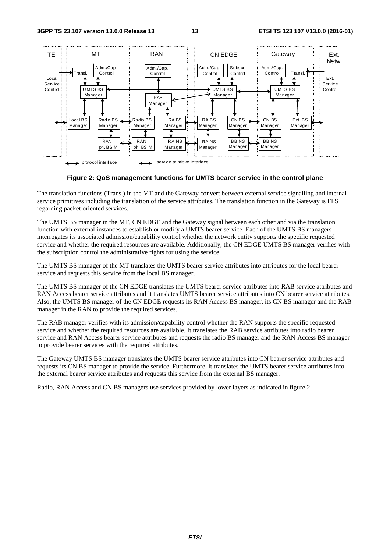

#### **Figure 2: QoS management functions for UMTS bearer service in the control plane**

The translation functions (Trans.) in the MT and the Gateway convert between external service signalling and internal service primitives including the translation of the service attributes. The translation function in the Gateway is FFS regarding packet oriented services.

The UMTS BS manager in the MT, CN EDGE and the Gateway signal between each other and via the translation function with external instances to establish or modify a UMTS bearer service. Each of the UMTS BS managers interrogates its associated admission/capability control whether the network entity supports the specific requested service and whether the required resources are available. Additionally, the CN EDGE UMTS BS manager verifies with the subscription control the administrative rights for using the service.

The UMTS BS manager of the MT translates the UMTS bearer service attributes into attributes for the local bearer service and requests this service from the local BS manager.

The UMTS BS manager of the CN EDGE translates the UMTS bearer service attributes into RAB service attributes and RAN Access bearer service attributes and it translates UMTS bearer service attributes into CN bearer service attributes. Also, the UMTS BS manager of the CN EDGE requests its RAN Access BS manager, its CN BS manager and the RAB manager in the RAN to provide the required services.

The RAB manager verifies with its admission/capability control whether the RAN supports the specific requested service and whether the required resources are available. It translates the RAB service attributes into radio bearer service and RAN Access bearer service attributes and requests the radio BS manager and the RAN Access BS manager to provide bearer services with the required attributes.

The Gateway UMTS BS manager translates the UMTS bearer service attributes into CN bearer service attributes and requests its CN BS manager to provide the service. Furthermore, it translates the UMTS bearer service attributes into the external bearer service attributes and requests this service from the external BS manager.

Radio, RAN Access and CN BS managers use services provided by lower layers as indicated in figure 2.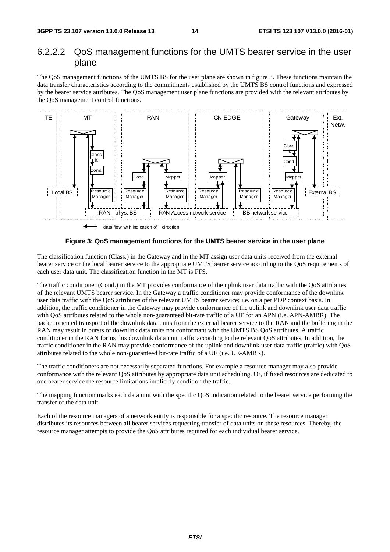### 6.2.2.2 QoS management functions for the UMTS bearer service in the user plane

The QoS management functions of the UMTS BS for the user plane are shown in figure 3. These functions maintain the data transfer characteristics according to the commitments established by the UMTS BS control functions and expressed by the bearer service attributes. The QoS management user plane functions are provided with the relevant attributes by the QoS management control functions.



#### **Figure 3: QoS management functions for the UMTS bearer service in the user plane**

The classification function (Class.) in the Gateway and in the MT assign user data units received from the external bearer service or the local bearer service to the appropriate UMTS bearer service according to the QoS requirements of each user data unit. The classification function in the MT is FFS.

The traffic conditioner (Cond.) in the MT provides conformance of the uplink user data traffic with the QoS attributes of the relevant UMTS bearer service. In the Gateway a traffic conditioner may provide conformance of the downlink user data traffic with the QoS attributes of the relevant UMTS bearer service; i.e. on a per PDP context basis. In addition, the traffic conditioner in the Gateway may provide conformance of the uplink and downlink user data traffic with QoS attributes related to the whole non-guaranteed bit-rate traffic of a UE for an APN (i.e. APN-AMBR). The packet oriented transport of the downlink data units from the external bearer service to the RAN and the buffering in the RAN may result in bursts of downlink data units not conformant with the UMTS BS QoS attributes. A traffic conditioner in the RAN forms this downlink data unit traffic according to the relevant QoS attributes. In addition, the traffic conditioner in the RAN may provide conformance of the uplink and downlink user data traffic (traffic) with QoS attributes related to the whole non-guaranteed bit-rate traffic of a UE (i.e. UE-AMBR).

The traffic conditioners are not necessarily separated functions. For example a resource manager may also provide conformance with the relevant QoS attributes by appropriate data unit scheduling. Or, if fixed resources are dedicated to one bearer service the resource limitations implicitly condition the traffic.

The mapping function marks each data unit with the specific QoS indication related to the bearer service performing the transfer of the data unit.

Each of the resource managers of a network entity is responsible for a specific resource. The resource manager distributes its resources between all bearer services requesting transfer of data units on these resources. Thereby, the resource manager attempts to provide the QoS attributes required for each individual bearer service.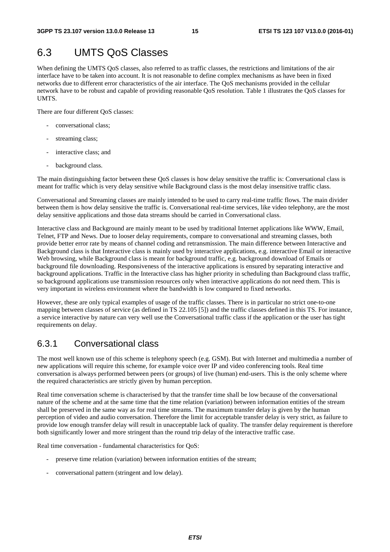# 6.3 UMTS QoS Classes

When defining the UMTS QoS classes, also referred to as traffic classes, the restrictions and limitations of the air interface have to be taken into account. It is not reasonable to define complex mechanisms as have been in fixed networks due to different error characteristics of the air interface. The QoS mechanisms provided in the cellular network have to be robust and capable of providing reasonable QoS resolution. Table 1 illustrates the QoS classes for **UMTS** 

There are four different QoS classes:

- conversational class;
- streaming class;
- interactive class; and
- background class.

The main distinguishing factor between these QoS classes is how delay sensitive the traffic is: Conversational class is meant for traffic which is very delay sensitive while Background class is the most delay insensitive traffic class.

Conversational and Streaming classes are mainly intended to be used to carry real-time traffic flows. The main divider between them is how delay sensitive the traffic is. Conversational real-time services, like video telephony, are the most delay sensitive applications and those data streams should be carried in Conversational class.

Interactive class and Background are mainly meant to be used by traditional Internet applications like WWW, Email, Telnet, FTP and News. Due to looser delay requirements, compare to conversational and streaming classes, both provide better error rate by means of channel coding and retransmission. The main difference between Interactive and Background class is that Interactive class is mainly used by interactive applications, e.g. interactive Email or interactive Web browsing, while Background class is meant for background traffic, e.g. background download of Emails or background file downloading. Responsiveness of the interactive applications is ensured by separating interactive and background applications. Traffic in the Interactive class has higher priority in scheduling than Background class traffic, so background applications use transmission resources only when interactive applications do not need them. This is very important in wireless environment where the bandwidth is low compared to fixed networks.

However, these are only typical examples of usage of the traffic classes. There is in particular no strict one-to-one mapping between classes of service (as defined in TS 22.105 [5]) and the traffic classes defined in this TS. For instance, a service interactive by nature can very well use the Conversational traffic class if the application or the user has tight requirements on delay.

### 6.3.1 Conversational class

The most well known use of this scheme is telephony speech (e.g. GSM). But with Internet and multimedia a number of new applications will require this scheme, for example voice over IP and video conferencing tools. Real time conversation is always performed between peers (or groups) of live (human) end-users. This is the only scheme where the required characteristics are strictly given by human perception.

Real time conversation scheme is characterised by that the transfer time shall be low because of the conversational nature of the scheme and at the same time that the time relation (variation) between information entities of the stream shall be preserved in the same way as for real time streams. The maximum transfer delay is given by the human perception of video and audio conversation. Therefore the limit for acceptable transfer delay is very strict, as failure to provide low enough transfer delay will result in unacceptable lack of quality. The transfer delay requirement is therefore both significantly lower and more stringent than the round trip delay of the interactive traffic case.

Real time conversation - fundamental characteristics for QoS:

- preserve time relation (variation) between information entities of the stream;
- conversational pattern (stringent and low delay).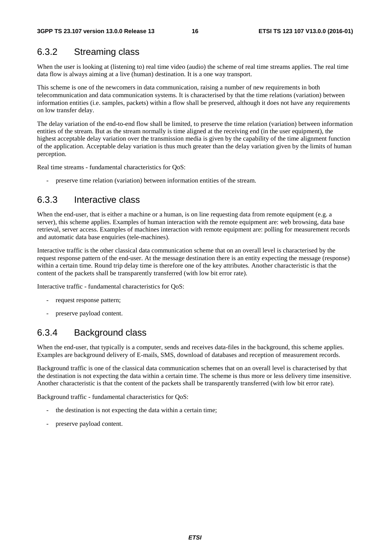### 6.3.2 Streaming class

When the user is looking at (listening to) real time video (audio) the scheme of real time streams applies. The real time data flow is always aiming at a live (human) destination. It is a one way transport.

This scheme is one of the newcomers in data communication, raising a number of new requirements in both telecommunication and data communication systems. It is characterised by that the time relations (variation) between information entities (i.e. samples, packets) within a flow shall be preserved, although it does not have any requirements on low transfer delay.

The delay variation of the end-to-end flow shall be limited, to preserve the time relation (variation) between information entities of the stream. But as the stream normally is time aligned at the receiving end (in the user equipment), the highest acceptable delay variation over the transmission media is given by the capability of the time alignment function of the application. Acceptable delay variation is thus much greater than the delay variation given by the limits of human perception.

Real time streams - fundamental characteristics for QoS:

preserve time relation (variation) between information entities of the stream.

### 6.3.3 Interactive class

When the end-user, that is either a machine or a human, is on line requesting data from remote equipment (e.g. a server), this scheme applies. Examples of human interaction with the remote equipment are: web browsing, data base retrieval, server access. Examples of machines interaction with remote equipment are: polling for measurement records and automatic data base enquiries (tele-machines).

Interactive traffic is the other classical data communication scheme that on an overall level is characterised by the request response pattern of the end-user. At the message destination there is an entity expecting the message (response) within a certain time. Round trip delay time is therefore one of the key attributes. Another characteristic is that the content of the packets shall be transparently transferred (with low bit error rate).

Interactive traffic - fundamental characteristics for QoS:

- request response pattern;
- preserve payload content.

### 6.3.4 Background class

When the end-user, that typically is a computer, sends and receives data-files in the background, this scheme applies. Examples are background delivery of E-mails, SMS, download of databases and reception of measurement records.

Background traffic is one of the classical data communication schemes that on an overall level is characterised by that the destination is not expecting the data within a certain time. The scheme is thus more or less delivery time insensitive. Another characteristic is that the content of the packets shall be transparently transferred (with low bit error rate).

Background traffic - fundamental characteristics for QoS:

- the destination is not expecting the data within a certain time;
- preserve payload content.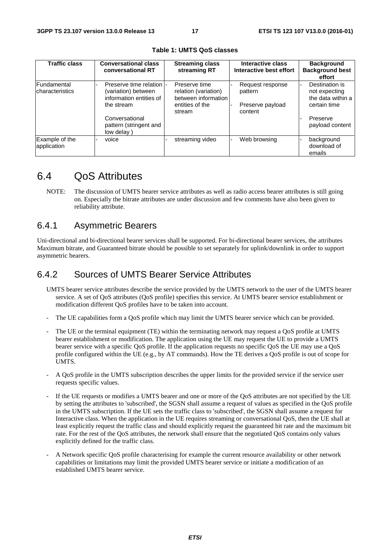| <b>Traffic class</b>            | <b>Conversational class</b><br>conversational RT                                                                                                    | <b>Streaming class</b><br>streaming RT                                                    | Interactive class<br>Interactive best effort               | <b>Background</b><br><b>Background best</b><br>effort                                               |
|---------------------------------|-----------------------------------------------------------------------------------------------------------------------------------------------------|-------------------------------------------------------------------------------------------|------------------------------------------------------------|-----------------------------------------------------------------------------------------------------|
| lFundamental<br>characteristics | Preserve time relation I-<br>(variation) between<br>information entities of<br>the stream<br>Conversational<br>pattern (stringent and<br>low delay) | Preserve time<br>relation (variation)<br>between information<br>entities of the<br>stream | Request response<br>pattern<br>Preserve payload<br>content | Destination is<br>not expecting<br>the data within a<br>certain time<br>Preserve<br>payload content |
| Example of the<br>application   | voice                                                                                                                                               | streaming video                                                                           | Web browsing                                               | background<br>download of<br>emails                                                                 |

**Table 1: UMTS QoS classes** 

# 6.4 QoS Attributes

NOTE: The discussion of UMTS bearer service attributes as well as radio access bearer attributes is still going on. Especially the bitrate attributes are under discussion and few comments have also been given to reliability attribute.

### 6.4.1 Asymmetric Bearers

Uni-directional and bi-directional bearer services shall be supported. For bi-directional bearer services, the attributes Maximum bitrate, and Guaranteed bitrate should be possible to set separately for uplink/downlink in order to support asymmetric bearers.

### 6.4.2 Sources of UMTS Bearer Service Attributes

- UMTS bearer service attributes describe the service provided by the UMTS network to the user of the UMTS bearer service. A set of QoS attributes (QoS profile) specifies this service. At UMTS bearer service establishment or modification different QoS profiles have to be taken into account.
- The UE capabilities form a QoS profile which may limit the UMTS bearer service which can be provided.
- The UE or the terminal equipment (TE) within the terminating network may request a QoS profile at UMTS bearer establishment or modification. The application using the UE may request the UE to provide a UMTS bearer service with a specific QoS profile. If the application requests no specific QoS the UE may use a QoS profile configured within the UE (e.g., by AT commands). How the TE derives a QoS profile is out of scope for UMTS.
- A QoS profile in the UMTS subscription describes the upper limits for the provided service if the service user requests specific values.
- If the UE requests or modifies a UMTS bearer and one or more of the QoS attributes are not specified by the UE by setting the attributes to 'subscribed', the SGSN shall assume a request of values as specified in the QoS profile in the UMTS subscription. If the UE sets the traffic class to 'subscribed', the SGSN shall assume a request for Interactive class. When the application in the UE requires streaming or conversational QoS, then the UE shall at least explicitly request the traffic class and should explicitly request the guaranteed bit rate and the maximum bit rate. For the rest of the QoS attributes, the network shall ensure that the negotiated QoS contains only values explicitly defined for the traffic class.
- A Network specific QoS profile characterising for example the current resource availability or other network capabilities or limitations may limit the provided UMTS bearer service or initiate a modification of an established UMTS bearer service.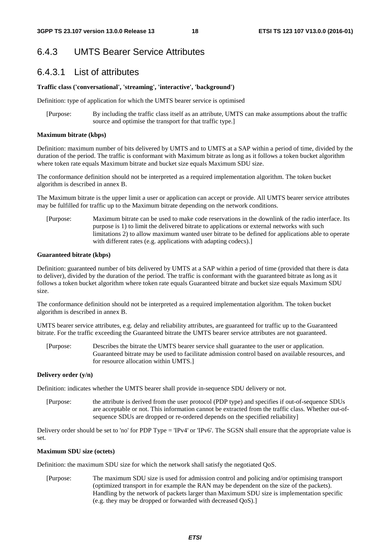## 6.4.3 UMTS Bearer Service Attributes

### 6.4.3.1 List of attributes

#### **Traffic class ('conversational', 'streaming', 'interactive', 'background')**

Definition: type of application for which the UMTS bearer service is optimised

[Purpose: By including the traffic class itself as an attribute, UMTS can make assumptions about the traffic source and optimise the transport for that traffic type.]

#### **Maximum bitrate (kbps)**

Definition: maximum number of bits delivered by UMTS and to UMTS at a SAP within a period of time, divided by the duration of the period. The traffic is conformant with Maximum bitrate as long as it follows a token bucket algorithm where token rate equals Maximum bitrate and bucket size equals Maximum SDU size.

The conformance definition should not be interpreted as a required implementation algorithm. The token bucket algorithm is described in annex B.

The Maximum bitrate is the upper limit a user or application can accept or provide. All UMTS bearer service attributes may be fulfilled for traffic up to the Maximum bitrate depending on the network conditions.

[Purpose: Maximum bitrate can be used to make code reservations in the downlink of the radio interface. Its purpose is 1) to limit the delivered bitrate to applications or external networks with such limitations 2) to allow maximum wanted user bitrate to be defined for applications able to operate with different rates (e.g. applications with adapting codecs).]

#### **Guaranteed bitrate (kbps)**

Definition: guaranteed number of bits delivered by UMTS at a SAP within a period of time (provided that there is data to deliver), divided by the duration of the period. The traffic is conformant with the guaranteed bitrate as long as it follows a token bucket algorithm where token rate equals Guaranteed bitrate and bucket size equals Maximum SDU size.

The conformance definition should not be interpreted as a required implementation algorithm. The token bucket algorithm is described in annex B.

UMTS bearer service attributes, e.g. delay and reliability attributes, are guaranteed for traffic up to the Guaranteed bitrate. For the traffic exceeding the Guaranteed bitrate the UMTS bearer service attributes are not guaranteed.

[Purpose: Describes the bitrate the UMTS bearer service shall guarantee to the user or application. Guaranteed bitrate may be used to facilitate admission control based on available resources, and for resource allocation within UMTS.]

#### **Delivery order (y/n)**

Definition: indicates whether the UMTS bearer shall provide in-sequence SDU delivery or not.

[Purpose: the attribute is derived from the user protocol (PDP type) and specifies if out-of-sequence SDUs are acceptable or not. This information cannot be extracted from the traffic class. Whether out-ofsequence SDUs are dropped or re-ordered depends on the specified reliability]

Delivery order should be set to 'no' for PDP Type = 'IPv4' or 'IPv6'. The SGSN shall ensure that the appropriate value is set.

#### **Maximum SDU size (octets)**

Definition: the maximum SDU size for which the network shall satisfy the negotiated QoS.

[Purpose: The maximum SDU size is used for admission control and policing and/or optimising transport (optimized transport in for example the RAN may be dependent on the size of the packets). Handling by the network of packets larger than Maximum SDU size is implementation specific (e.g. they may be dropped or forwarded with decreased QoS).]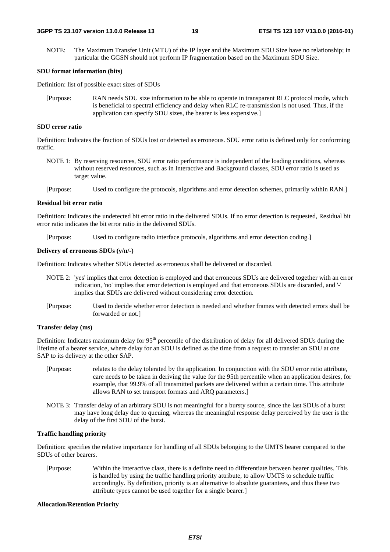NOTE: The Maximum Transfer Unit (MTU) of the IP layer and the Maximum SDU Size have no relationship; in particular the GGSN should not perform IP fragmentation based on the Maximum SDU Size.

#### **SDU format information (bits)**

Definition: list of possible exact sizes of SDUs

[Purpose: RAN needs SDU size information to be able to operate in transparent RLC protocol mode, which is beneficial to spectral efficiency and delay when RLC re-transmission is not used. Thus, if the application can specify SDU sizes, the bearer is less expensive.]

#### **SDU error ratio**

Definition: Indicates the fraction of SDUs lost or detected as erroneous. SDU error ratio is defined only for conforming traffic.

- NOTE 1: By reserving resources, SDU error ratio performance is independent of the loading conditions, whereas without reserved resources, such as in Interactive and Background classes, SDU error ratio is used as target value.
- [Purpose: Used to configure the protocols, algorithms and error detection schemes, primarily within RAN.]

#### **Residual bit error ratio**

Definition: Indicates the undetected bit error ratio in the delivered SDUs. If no error detection is requested, Residual bit error ratio indicates the bit error ratio in the delivered SDUs.

[Purpose: Used to configure radio interface protocols, algorithms and error detection coding.]

#### **Delivery of erroneous SDUs (y/n/-)**

Definition: Indicates whether SDUs detected as erroneous shall be delivered or discarded.

- NOTE 2: 'yes' implies that error detection is employed and that erroneous SDUs are delivered together with an error indication, 'no' implies that error detection is employed and that erroneous SDUs are discarded, and '-' implies that SDUs are delivered without considering error detection.
- [Purpose: Used to decide whether error detection is needed and whether frames with detected errors shall be forwarded or not.]

#### **Transfer delay (ms)**

Definition: Indicates maximum delay for  $95<sup>th</sup>$  percentile of the distribution of delay for all delivered SDUs during the lifetime of a bearer service, where delay for an SDU is defined as the time from a request to transfer an SDU at one SAP to its delivery at the other SAP.

- [Purpose: relates to the delay tolerated by the application. In conjunction with the SDU error ratio attribute, care needs to be taken in deriving the value for the 95th percentile when an application desires, for example, that 99.9% of all transmitted packets are delivered within a certain time. This attribute allows RAN to set transport formats and ARQ parameters.]
- NOTE 3: Transfer delay of an arbitrary SDU is not meaningful for a bursty source, since the last SDUs of a burst may have long delay due to queuing, whereas the meaningful response delay perceived by the user is the delay of the first SDU of the burst.

#### **Traffic handling priority**

Definition: specifies the relative importance for handling of all SDUs belonging to the UMTS bearer compared to the SDUs of other bearers.

[Purpose: Within the interactive class, there is a definite need to differentiate between bearer qualities. This is handled by using the traffic handling priority attribute, to allow UMTS to schedule traffic accordingly. By definition, priority is an alternative to absolute guarantees, and thus these two attribute types cannot be used together for a single bearer.]

#### **Allocation/Retention Priority**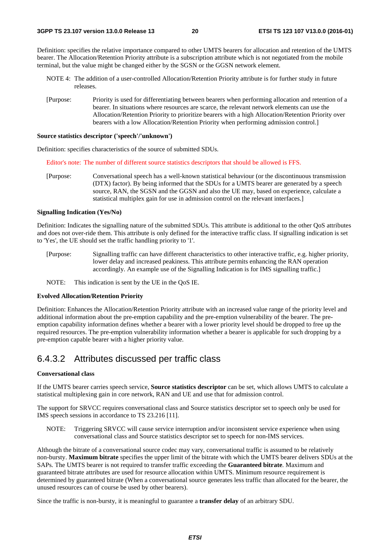Definition: specifies the relative importance compared to other UMTS bearers for allocation and retention of the UMTS bearer. The Allocation/Retention Priority attribute is a subscription attribute which is not negotiated from the mobile terminal, but the value might be changed either by the SGSN or the GGSN network element.

- NOTE 4: The addition of a user-controlled Allocation/Retention Priority attribute is for further study in future releases.
- [Purpose: Priority is used for differentiating between bearers when performing allocation and retention of a bearer. In situations where resources are scarce, the relevant network elements can use the Allocation/Retention Priority to prioritize bearers with a high Allocation/Retention Priority over bearers with a low Allocation/Retention Priority when performing admission control.]

#### **Source statistics descriptor ('speech'/'unknown')**

Definition: specifies characteristics of the source of submitted SDUs.

Editor's note: The number of different source statistics descriptors that should be allowed is FFS.

[Purpose: Conversational speech has a well-known statistical behaviour (or the discontinuous transmission (DTX) factor). By being informed that the SDUs for a UMTS bearer are generated by a speech source, RAN, the SGSN and the GGSN and also the UE may, based on experience, calculate a statistical multiplex gain for use in admission control on the relevant interfaces.]

#### **Signalling Indication (Yes/No)**

Definition: Indicates the signalling nature of the submitted SDUs. This attribute is additional to the other QoS attributes and does not over-ride them. This attribute is only defined for the interactive traffic class. If signalling indication is set to 'Yes', the UE should set the traffic handling priority to '1'.

[Purpose: Signalling traffic can have different characteristics to other interactive traffic, e.g. higher priority, lower delay and increased peakiness. This attribute permits enhancing the RAN operation accordingly. An example use of the Signalling Indication is for IMS signalling traffic.]

NOTE: This indication is sent by the UE in the QoS IE.

#### **Evolved Allocation/Retention Priority**

Definition: Enhances the Allocation/Retention Priority attribute with an increased value range of the priority level and additional information about the pre-emption capability and the pre-emption vulnerability of the bearer. The preemption capability information defines whether a bearer with a lower priority level should be dropped to free up the required resources. The pre-emption vulnerability information whether a bearer is applicable for such dropping by a pre-emption capable bearer with a higher priority value.

### 6.4.3.2 Attributes discussed per traffic class

#### **Conversational class**

If the UMTS bearer carries speech service, **Source statistics descriptor** can be set, which allows UMTS to calculate a statistical multiplexing gain in core network, RAN and UE and use that for admission control.

The support for SRVCC requires conversational class and Source statistics descriptor set to speech only be used for IMS speech sessions in accordance to TS 23.216 [11].

NOTE: Triggering SRVCC will cause service interruption and/or inconsistent service experience when using conversational class and Source statistics descriptor set to speech for non-IMS services.

Although the bitrate of a conversational source codec may vary, conversational traffic is assumed to be relatively non-bursty. **Maximum bitrate** specifies the upper limit of the bitrate with which the UMTS bearer delivers SDUs at the SAPs. The UMTS bearer is not required to transfer traffic exceeding the **Guaranteed bitrate**. Maximum and guaranteed bitrate attributes are used for resource allocation within UMTS. Minimum resource requirement is determined by guaranteed bitrate (When a conversational source generates less traffic than allocated for the bearer, the unused resources can of course be used by other bearers).

Since the traffic is non-bursty, it is meaningful to guarantee a **transfer delay** of an arbitrary SDU.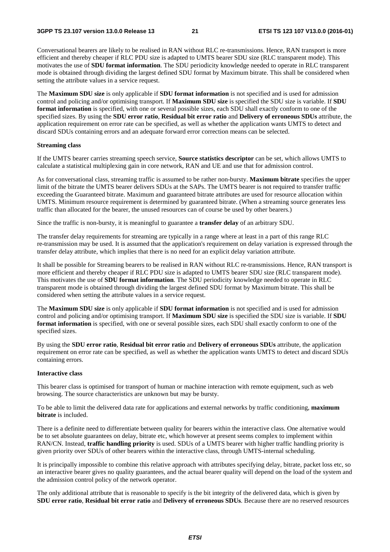Conversational bearers are likely to be realised in RAN without RLC re-transmissions. Hence, RAN transport is more efficient and thereby cheaper if RLC PDU size is adapted to UMTS bearer SDU size (RLC transparent mode). This motivates the use of **SDU format information**. The SDU periodicity knowledge needed to operate in RLC transparent mode is obtained through dividing the largest defined SDU format by Maximum bitrate. This shall be considered when setting the attribute values in a service request.

The **Maximum SDU size** is only applicable if **SDU format information** is not specified and is used for admission control and policing and/or optimising transport. If **Maximum SDU size** is specified the SDU size is variable. If **SDU format information** is specified, with one or several possible sizes, each SDU shall exactly conform to one of the specified sizes. By using the **SDU error ratio**, **Residual bit error ratio** and **Delivery of erroneous SDUs** attribute, the application requirement on error rate can be specified, as well as whether the application wants UMTS to detect and discard SDUs containing errors and an adequate forward error correction means can be selected.

#### **Streaming class**

If the UMTS bearer carries streaming speech service, **Source statistics descriptor** can be set, which allows UMTS to calculate a statistical multiplexing gain in core network, RAN and UE and use that for admission control.

As for conversational class, streaming traffic is assumed to be rather non-bursty. **Maximum bitrate** specifies the upper limit of the bitrate the UMTS bearer delivers SDUs at the SAPs. The UMTS bearer is not required to transfer traffic exceeding the Guaranteed bitrate. Maximum and guaranteed bitrate attributes are used for resource allocation within UMTS. Minimum resource requirement is determined by guaranteed bitrate. (When a streaming source generates less traffic than allocated for the bearer, the unused resources can of course be used by other bearers.)

Since the traffic is non-bursty, it is meaningful to guarantee a **transfer delay** of an arbitrary SDU.

The transfer delay requirements for streaming are typically in a range where at least in a part of this range RLC re-transmission may be used. It is assumed that the application's requirement on delay variation is expressed through the transfer delay attribute, which implies that there is no need for an explicit delay variation attribute.

It shall be possible for Streaming bearers to be realised in RAN without RLC re-transmissions. Hence, RAN transport is more efficient and thereby cheaper if RLC PDU size is adapted to UMTS bearer SDU size (RLC transparent mode). This motivates the use of **SDU format information**. The SDU periodicity knowledge needed to operate in RLC transparent mode is obtained through dividing the largest defined SDU format by Maximum bitrate. This shall be considered when setting the attribute values in a service request.

The **Maximum SDU size** is only applicable if **SDU format information** is not specified and is used for admission control and policing and/or optimising transport. If **Maximum SDU size** is specified the SDU size is variable. If **SDU format information** is specified, with one or several possible sizes, each SDU shall exactly conform to one of the specified sizes.

By using the **SDU error ratio**, **Residual bit error ratio** and **Delivery of erroneous SDUs** attribute, the application requirement on error rate can be specified, as well as whether the application wants UMTS to detect and discard SDUs containing errors.

#### **Interactive class**

This bearer class is optimised for transport of human or machine interaction with remote equipment, such as web browsing. The source characteristics are unknown but may be bursty.

To be able to limit the delivered data rate for applications and external networks by traffic conditioning, **maximum bitrate** is included.

There is a definite need to differentiate between quality for bearers within the interactive class. One alternative would be to set absolute guarantees on delay, bitrate etc, which however at present seems complex to implement within RAN/CN. Instead, **traffic handling priority** is used. SDUs of a UMTS bearer with higher traffic handling priority is given priority over SDUs of other bearers within the interactive class, through UMTS-internal scheduling.

It is principally impossible to combine this relative approach with attributes specifying delay, bitrate, packet loss etc, so an interactive bearer gives no quality guarantees, and the actual bearer quality will depend on the load of the system and the admission control policy of the network operator.

The only additional attribute that is reasonable to specify is the bit integrity of the delivered data, which is given by **SDU error ratio**, **Residual bit error ratio** and **Delivery of erroneous SDUs**. Because there are no reserved resources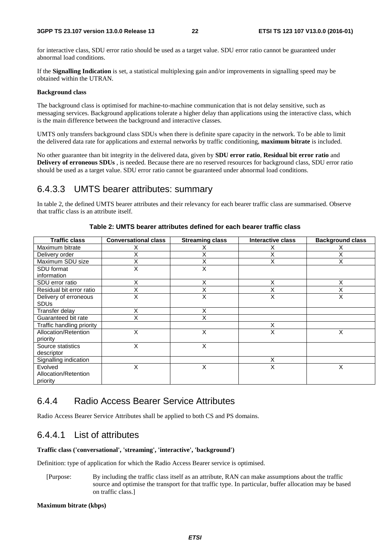for interactive class, SDU error ratio should be used as a target value. SDU error ratio cannot be guaranteed under abnormal load conditions.

If the **Signalling Indication** is set, a statistical multiplexing gain and/or improvements in signalling speed may be obtained within the UTRAN.

#### **Background class**

The background class is optimised for machine-to-machine communication that is not delay sensitive, such as messaging services. Background applications tolerate a higher delay than applications using the interactive class, which is the main difference between the background and interactive classes.

UMTS only transfers background class SDUs when there is definite spare capacity in the network. To be able to limit the delivered data rate for applications and external networks by traffic conditioning, **maximum bitrate** is included.

No other guarantee than bit integrity in the delivered data, given by **SDU error ratio**, **Residual bit error ratio** and **Delivery of erroneous SDUs** , is needed. Because there are no reserved resources for background class, SDU error ratio should be used as a target value. SDU error ratio cannot be guaranteed under abnormal load conditions.

### 6.4.3.3 UMTS bearer attributes: summary

In table 2, the defined UMTS bearer attributes and their relevancy for each bearer traffic class are summarised. Observe that traffic class is an attribute itself.

| <b>Traffic class</b>      | <b>Conversational class</b> | <b>Streaming class</b> | Interactive class | <b>Background class</b> |
|---------------------------|-----------------------------|------------------------|-------------------|-------------------------|
| Maximum bitrate           | х                           | x                      | х                 | х                       |
|                           |                             |                        |                   |                         |
| Delivery order            | Χ                           | x                      | X                 | Χ                       |
| Maximum SDU size          | Χ                           | Χ                      | X                 | Χ                       |
| SDU format                | Χ                           | Χ                      |                   |                         |
| information               |                             |                        |                   |                         |
| SDU error ratio           | Χ                           | X                      | X                 | Χ                       |
| Residual bit error ratio  | Χ                           | Χ                      | X                 | Χ                       |
| Delivery of erroneous     | X                           | X                      | X                 | Χ                       |
| <b>SDUs</b>               |                             |                        |                   |                         |
| Transfer delay            | X                           | X                      |                   |                         |
| Guaranteed bit rate       | Χ                           | x                      |                   |                         |
| Traffic handling priority |                             |                        | X                 |                         |
| Allocation/Retention      | Χ                           | Χ                      | X                 | X                       |
| priority                  |                             |                        |                   |                         |
| Source statistics         | X                           | X                      |                   |                         |
| descriptor                |                             |                        |                   |                         |
| Signalling indication     |                             |                        | X                 |                         |
| Evolved                   | X                           | X                      | X                 | X                       |
| Allocation/Retention      |                             |                        |                   |                         |
| priority                  |                             |                        |                   |                         |

#### **Table 2: UMTS bearer attributes defined for each bearer traffic class**

### 6.4.4 Radio Access Bearer Service Attributes

Radio Access Bearer Service Attributes shall be applied to both CS and PS domains.

### 6.4.4.1 List of attributes

#### **Traffic class ('conversational', 'streaming', 'interactive', 'background')**

Definition: type of application for which the Radio Access Bearer service is optimised.

[Purpose: By including the traffic class itself as an attribute, RAN can make assumptions about the traffic source and optimise the transport for that traffic type. In particular, buffer allocation may be based on traffic class.]

#### **Maximum bitrate (kbps)**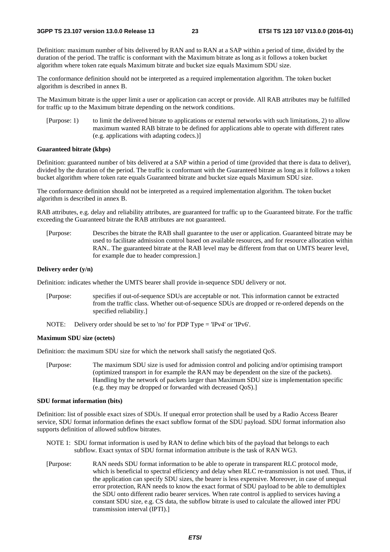Definition: maximum number of bits delivered by RAN and to RAN at a SAP within a period of time, divided by the duration of the period. The traffic is conformant with the Maximum bitrate as long as it follows a token bucket algorithm where token rate equals Maximum bitrate and bucket size equals Maximum SDU size.

The conformance definition should not be interpreted as a required implementation algorithm. The token bucket algorithm is described in annex B.

The Maximum bitrate is the upper limit a user or application can accept or provide. All RAB attributes may be fulfilled for traffic up to the Maximum bitrate depending on the network conditions.

[Purpose: 1) to limit the delivered bitrate to applications or external networks with such limitations, 2) to allow maximum wanted RAB bitrate to be defined for applications able to operate with different rates (e.g. applications with adapting codecs.)]

#### **Guaranteed bitrate (kbps)**

Definition: guaranteed number of bits delivered at a SAP within a period of time (provided that there is data to deliver), divided by the duration of the period. The traffic is conformant with the Guaranteed bitrate as long as it follows a token bucket algorithm where token rate equals Guaranteed bitrate and bucket size equals Maximum SDU size.

The conformance definition should not be interpreted as a required implementation algorithm. The token bucket algorithm is described in annex B.

RAB attributes, e.g. delay and reliability attributes, are guaranteed for traffic up to the Guaranteed bitrate. For the traffic exceeding the Guaranteed bitrate the RAB attributes are not guaranteed.

[Purpose: Describes the bitrate the RAB shall guarantee to the user or application. Guaranteed bitrate may be used to facilitate admission control based on available resources, and for resource allocation within RAN.. The guaranteed bitrate at the RAB level may be different from that on UMTS bearer level, for example due to header compression.]

#### **Delivery order (y/n)**

Definition: indicates whether the UMTS bearer shall provide in-sequence SDU delivery or not.

- [Purpose: specifies if out-of-sequence SDUs are acceptable or not. This information cannot be extracted from the traffic class. Whether out-of-sequence SDUs are dropped or re-ordered depends on the specified reliability.]
- NOTE: Delivery order should be set to 'no' for PDP Type = 'IPv4' or 'IPv6'.

#### **Maximum SDU size (octets)**

Definition: the maximum SDU size for which the network shall satisfy the negotiated QoS.

[Purpose: The maximum SDU size is used for admission control and policing and/or optimising transport (optimized transport in for example the RAN may be dependent on the size of the packets). Handling by the network of packets larger than Maximum SDU size is implementation specific (e.g. they may be dropped or forwarded with decreased QoS).]

#### **SDU format information (bits)**

Definition: list of possible exact sizes of SDUs. If unequal error protection shall be used by a Radio Access Bearer service, SDU format information defines the exact subflow format of the SDU payload. SDU format information also supports definition of allowed subflow bitrates.

- NOTE 1: SDU format information is used by RAN to define which bits of the payload that belongs to each subflow. Exact syntax of SDU format information attribute is the task of RAN WG3.
- [Purpose: RAN needs SDU format information to be able to operate in transparent RLC protocol mode, which is beneficial to spectral efficiency and delay when RLC re-transmission is not used. Thus, if the application can specify SDU sizes, the bearer is less expensive. Moreover, in case of unequal error protection, RAN needs to know the exact format of SDU payload to be able to demultiplex the SDU onto different radio bearer services. When rate control is applied to services having a constant SDU size, e.g. CS data, the subflow bitrate is used to calculate the allowed inter PDU transmission interval (IPTI).]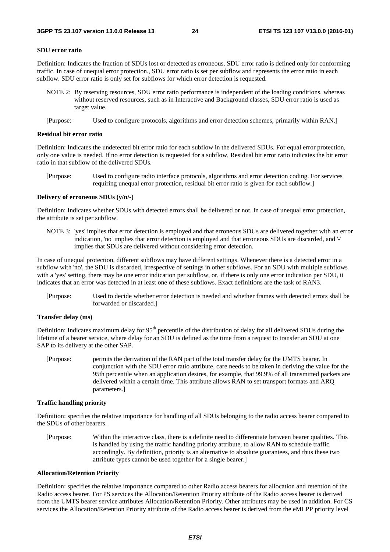#### **SDU error ratio**

Definition: Indicates the fraction of SDUs lost or detected as erroneous. SDU error ratio is defined only for conforming traffic. In case of unequal error protection., SDU error ratio is set per subflow and represents the error ratio in each subflow. SDU error ratio is only set for subflows for which error detection is requested.

- NOTE 2: By reserving resources, SDU error ratio performance is independent of the loading conditions, whereas without reserved resources, such as in Interactive and Background classes, SDU error ratio is used as target value.
- [Purpose: Used to configure protocols, algorithms and error detection schemes, primarily within RAN.]

#### **Residual bit error ratio**

Definition: Indicates the undetected bit error ratio for each subflow in the delivered SDUs. For equal error protection, only one value is needed. If no error detection is requested for a subflow, Residual bit error ratio indicates the bit error ratio in that subflow of the delivered SDUs.

[Purpose: Used to configure radio interface protocols, algorithms and error detection coding. For services requiring unequal error protection, residual bit error ratio is given for each subflow.]

#### **Delivery of erroneous SDUs (y/n/-)**

Definition: Indicates whether SDUs with detected errors shall be delivered or not. In case of unequal error protection, the attribute is set per subflow.

NOTE 3: 'yes' implies that error detection is employed and that erroneous SDUs are delivered together with an error indication, 'no' implies that error detection is employed and that erroneous SDUs are discarded, and '-' implies that SDUs are delivered without considering error detection.

In case of unequal protection, different subflows may have different settings. Whenever there is a detected error in a subflow with 'no', the SDU is discarded, irrespective of settings in other subflows. For an SDU with multiple subflows with a 'yes' setting, there may be one error indication per subflow, or, if there is only one error indication per SDU, it indicates that an error was detected in at least one of these subflows. Exact definitions are the task of RAN3.

[Purpose: Used to decide whether error detection is needed and whether frames with detected errors shall be forwarded or discarded.]

#### **Transfer delay (ms)**

Definition: Indicates maximum delay for 95<sup>th</sup> percentile of the distribution of delay for all delivered SDUs during the lifetime of a bearer service, where delay for an SDU is defined as the time from a request to transfer an SDU at one SAP to its delivery at the other SAP.

[Purpose: permits the derivation of the RAN part of the total transfer delay for the UMTS bearer. In conjunction with the SDU error ratio attribute, care needs to be taken in deriving the value for the 95th percentile when an application desires, for example, that 99.9% of all transmitted packets are delivered within a certain time. This attribute allows RAN to set transport formats and ARQ parameters.]

#### **Traffic handling priority**

Definition: specifies the relative importance for handling of all SDUs belonging to the radio access bearer compared to the SDUs of other bearers.

[Purpose: Within the interactive class, there is a definite need to differentiate between bearer qualities. This is handled by using the traffic handling priority attribute, to allow RAN to schedule traffic accordingly. By definition, priority is an alternative to absolute guarantees, and thus these two attribute types cannot be used together for a single bearer.]

#### **Allocation/Retention Priority**

Definition: specifies the relative importance compared to other Radio access bearers for allocation and retention of the Radio access bearer. For PS services the Allocation/Retention Priority attribute of the Radio access bearer is derived from the UMTS bearer service attributes Allocation/Retention Priority. Other attributes may be used in addition. For CS services the Allocation/Retention Priority attribute of the Radio access bearer is derived from the eMLPP priority level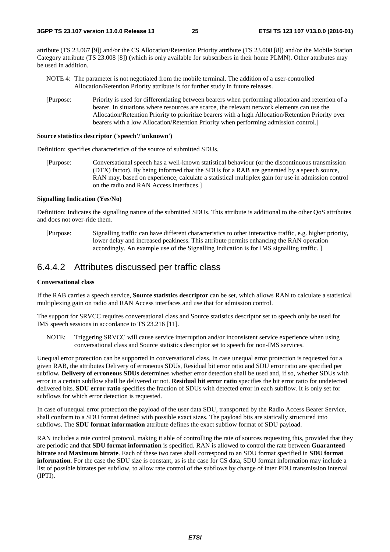attribute (TS 23.067 [9]) and/or the CS Allocation/Retention Priority attribute (TS 23.008 [8]) and/or the Mobile Station Category attribute (TS 23.008 [8]) (which is only available for subscribers in their home PLMN). Other attributes may be used in addition.

- NOTE 4: The parameter is not negotiated from the mobile terminal. The addition of a user-controlled Allocation/Retention Priority attribute is for further study in future releases.
- [Purpose: Priority is used for differentiating between bearers when performing allocation and retention of a bearer. In situations where resources are scarce, the relevant network elements can use the Allocation/Retention Priority to prioritize bearers with a high Allocation/Retention Priority over bearers with a low Allocation/Retention Priority when performing admission control.]

#### **Source statistics descriptor ('speech'/'unknown')**

Definition: specifies characteristics of the source of submitted SDUs.

[Purpose: Conversational speech has a well-known statistical behaviour (or the discontinuous transmission (DTX) factor). By being informed that the SDUs for a RAB are generated by a speech source, RAN may, based on experience, calculate a statistical multiplex gain for use in admission control on the radio and RAN Access interfaces.]

#### **Signalling Indication (Yes/No)**

Definition: Indicates the signalling nature of the submitted SDUs. This attribute is additional to the other QoS attributes and does not over-ride them.

[Purpose: Signalling traffic can have different characteristics to other interactive traffic, e.g. higher priority, lower delay and increased peakiness. This attribute permits enhancing the RAN operation accordingly. An example use of the Signalling Indication is for IMS signalling traffic. ]

### 6.4.4.2 Attributes discussed per traffic class

#### **Conversational class**

If the RAB carries a speech service, **Source statistics descriptor** can be set, which allows RAN to calculate a statistical multiplexing gain on radio and RAN Access interfaces and use that for admission control.

The support for SRVCC requires conversational class and Source statistics descriptor set to speech only be used for IMS speech sessions in accordance to TS 23.216 [11].

NOTE: Triggering SRVCC will cause service interruption and/or inconsistent service experience when using conversational class and Source statistics descriptor set to speech for non-IMS services.

Unequal error protection can be supported in conversational class. In case unequal error protection is requested for a given RAB, the attributes Delivery of erroneous SDUs, Residual bit error ratio and SDU error ratio are specified per subflow**. Delivery of erroneous SDUs** determines whether error detection shall be used and, if so, whether SDUs with error in a certain subflow shall be delivered or not. **Residual bit error ratio** specifies the bit error ratio for undetected delivered bits. **SDU error ratio** specifies the fraction of SDUs with detected error in each subflow. It is only set for subflows for which error detection is requested.

In case of unequal error protection the payload of the user data SDU, transported by the Radio Access Bearer Service, shall conform to a SDU format defined with possible exact sizes. The payload bits are statically structured into subflows. The **SDU format information** attribute defines the exact subflow format of SDU payload.

RAN includes a rate control protocol, making it able of controlling the rate of sources requesting this, provided that they are periodic and that **SDU format information** is specified. RAN is allowed to control the rate between **Guaranteed bitrate** and **Maximum bitrate**. Each of these two rates shall correspond to an SDU format specified in **SDU format information**. For the case the SDU size is constant, as is the case for CS data, SDU format information may include a list of possible bitrates per subflow, to allow rate control of the subflows by change of inter PDU transmission interval (IPTI).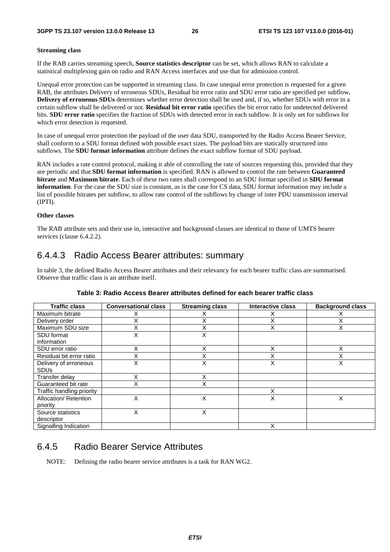#### **Streaming class**

If the RAB carries streaming speech, **Source statistics descriptor** can be set, which allows RAN to calculate a statistical multiplexing gain on radio and RAN Access interfaces and use that for admission control.

Unequal error protection can be supported in streaming class. In case unequal error protection is requested for a given RAB, the attributes Delivery of erroneous SDUs, Residual bit error ratio and SDU error ratio are specified per subflow**. Delivery of erroneous SDUs** determines whether error detection shall be used and, if so, whether SDUs with error in a certain subflow shall be delivered or not. **Residual bit error ratio** specifies the bit error ratio for undetected delivered bits. **SDU error ratio** specifies the fraction of SDUs with detected error in each subflow. It is only set for subflows for which error detection is requested.

In case of unequal error protection the payload of the user data SDU, transported by the Radio Access Bearer Service, shall conform to a SDU format defined with possible exact sizes. The payload bits are statically structured into subflows. The **SDU format information** attribute defines the exact subflow format of SDU payload.

RAN includes a rate control protocol, making it able of controlling the rate of sources requesting this, provided that they are periodic and that **SDU format information** is specified. RAN is allowed to control the rate between **Guaranteed bitrate** and **Maximum bitrate**. Each of these two rates shall correspond to an SDU format specified in **SDU format information**. For the case the SDU size is constant, as is the case for CS data, SDU format information may include a list of possible bitrates per subflow, to allow rate control of the subflows by change of inter PDU transmission interval (IPTI).

#### **Other classes**

The RAB attribute sets and their use in, interactive and background classes are identical to those of UMTS bearer services (clause 6.4.2.2).

### 6.4.4.3 Radio Access Bearer attributes: summary

In table 3, the defined Radio Access Bearer attributes and their relevancy for each bearer traffic class are summarised. Observe that traffic class is an attribute itself.

| <b>Traffic class</b>      | <b>Conversational class</b> | <b>Streaming class</b> | <b>Interactive class</b> | <b>Background class</b> |
|---------------------------|-----------------------------|------------------------|--------------------------|-------------------------|
| Maximum bitrate           | Χ                           |                        | х                        | х                       |
| Delivery order            | Χ                           |                        | Χ                        |                         |
| Maximum SDU size          | Χ                           |                        | Χ                        | ᄉ                       |
| SDU format<br>information | X                           | Χ                      |                          |                         |
| SDU error ratio           | X                           | X                      | Χ                        | x                       |
| Residual bit error ratio  | Χ                           | X                      | Χ                        | x                       |
| Delivery of erroneous     | Χ                           | X                      | Χ                        | х                       |
| <b>SDU<sub>s</sub></b>    |                             |                        |                          |                         |
| Transfer delay            | Χ                           | Χ                      |                          |                         |
| Guaranteed bit rate       | Χ                           | X                      |                          |                         |
| Traffic handling priority |                             |                        | Χ                        |                         |
| Allocation/Retention      | X                           | X                      | Χ                        | X                       |
| priority                  |                             |                        |                          |                         |
| Source statistics         | Χ                           | X                      |                          |                         |
| descriptor                |                             |                        |                          |                         |
| Signalling Indication     |                             |                        | v                        |                         |

#### **Table 3: Radio Access Bearer attributes defined for each bearer traffic class**

### 6.4.5 Radio Bearer Service Attributes

NOTE: Defining the radio bearer service attributes is a task for RAN WG2.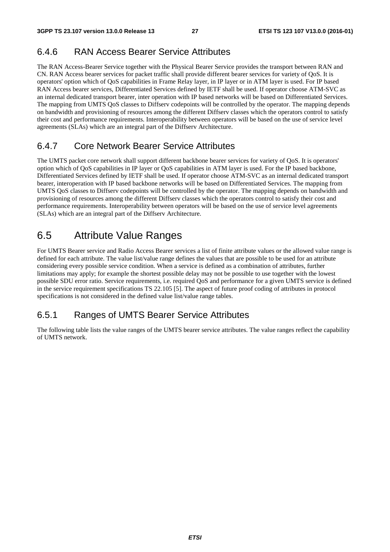### 6.4.6 RAN Access Bearer Service Attributes

The RAN Access-Bearer Service together with the Physical Bearer Service provides the transport between RAN and CN. RAN Access bearer services for packet traffic shall provide different bearer services for variety of QoS. It is operators' option which of QoS capabilities in Frame Relay layer, in IP layer or in ATM layer is used. For IP based RAN Access bearer services, Differentiated Services defined by IETF shall be used. If operator choose ATM-SVC as an internal dedicated transport bearer, inter operation with IP based networks will be based on Differentiated Services. The mapping from UMTS QoS classes to Diffserv codepoints will be controlled by the operator. The mapping depends on bandwidth and provisioning of resources among the different Diffserv classes which the operators control to satisfy their cost and performance requirements. Interoperability between operators will be based on the use of service level agreements (SLAs) which are an integral part of the Diffserv Architecture.

### 6.4.7 Core Network Bearer Service Attributes

The UMTS packet core network shall support different backbone bearer services for variety of QoS. It is operators' option which of QoS capabilities in IP layer or QoS capabilities in ATM layer is used. For the IP based backbone, Differentiated Services defined by IETF shall be used. If operator choose ATM-SVC as an internal dedicated transport bearer, interoperation with IP based backbone networks will be based on Differentiated Services. The mapping from UMTS QoS classes to Diffserv codepoints will be controlled by the operator. The mapping depends on bandwidth and provisioning of resources among the different Diffserv classes which the operators control to satisfy their cost and performance requirements. Interoperability between operators will be based on the use of service level agreements (SLAs) which are an integral part of the Diffserv Architecture.

# 6.5 Attribute Value Ranges

For UMTS Bearer service and Radio Access Bearer services a list of finite attribute values or the allowed value range is defined for each attribute. The value list/value range defines the values that are possible to be used for an attribute considering every possible service condition. When a service is defined as a combination of attributes, further limitations may apply; for example the shortest possible delay may not be possible to use together with the lowest possible SDU error ratio. Service requirements, i.e. required QoS and performance for a given UMTS service is defined in the service requirement specifications TS 22.105 [5]. The aspect of future proof coding of attributes in protocol specifications is not considered in the defined value list/value range tables.

### 6.5.1 Ranges of UMTS Bearer Service Attributes

The following table lists the value ranges of the UMTS bearer service attributes. The value ranges reflect the capability of UMTS network.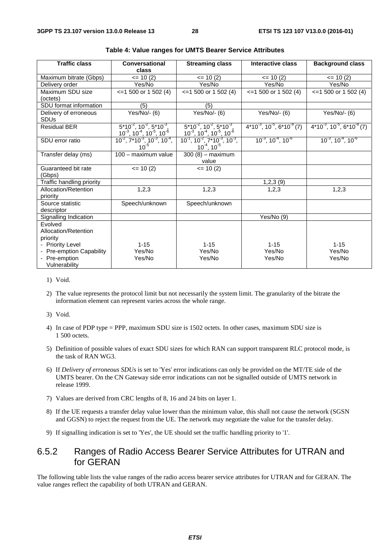| <b>Traffic class</b>                                                           | <b>Conversational</b><br>class                                                                               | <b>Streaming class</b>                                                                                                                                                                                     | <b>Interactive class</b>                  | <b>Background class</b>                   |
|--------------------------------------------------------------------------------|--------------------------------------------------------------------------------------------------------------|------------------------------------------------------------------------------------------------------------------------------------------------------------------------------------------------------------|-------------------------------------------|-------------------------------------------|
| Maximum bitrate (Gbps)                                                         | $= 10(2)$                                                                                                    | $= 10(2)$                                                                                                                                                                                                  | $= 10(2)$                                 | $= 10(2)$                                 |
| Delivery order                                                                 | Yes/No                                                                                                       | Yes/No                                                                                                                                                                                                     | Yes/No                                    | Yes/No                                    |
| Maximum SDU size<br>(octets)                                                   | $\leq$ 1 500 or 1 502 (4)                                                                                    | $\leq$ 1 500 or 1 502 (4)                                                                                                                                                                                  | $\leq$ 1 500 or 1 502 (4)                 | $\leq$ 1 500 or 1 502 (4)                 |
| SDU format information                                                         | (5)                                                                                                          | (5)                                                                                                                                                                                                        |                                           |                                           |
| Delivery of erroneous<br><b>SDUs</b>                                           | Yes/No/- (6)                                                                                                 | Yes/No/- (6)                                                                                                                                                                                               | Yes/No/- (6)                              | Yes/No/- (6)                              |
| <b>Residual BER</b>                                                            | $5*10^2$ , $10^2$ , $5*10^3$ ,<br>$10^3$ , $10^4$ , $10^5$ , $10^6$<br>$10^2$ , $7*10^3$ , $10^3$ , $10^4$ , | $5*10^{-2}$ , $10^{-2}$ , $5*10^{-3}$ ,<br>$\frac{10^{-3}}{10^{-1}}$ , $\frac{10^{-4}}{10^{-2}}$ , $\frac{10^{-5}}{7}$ , $\frac{10^{-6}}{10^{-3}}$ , $\frac{10^{-3}}{10^{-3}}$ , $\frac{10^{-3}}{10^{-3}}$ | $4*10^{-3}$ , $10^{-5}$ , $6*10^{-8}$ (7) | $4*10^{-3}$ , $10^{-5}$ , $6*10^{-8}$ (7) |
| SDU error ratio                                                                | $10^{-5}$                                                                                                    | $10^{-4}$ , $10^{-5}$                                                                                                                                                                                      | $10^{-3}$ , $10^{-4}$ , $10^{-6}$         | $10^{-3}$ , $10^{-4}$ , $10^{-6}$         |
| Transfer delay (ms)                                                            | 100 - maximum value                                                                                          | $300(8) -$ maximum<br>value                                                                                                                                                                                |                                           |                                           |
| Guaranteed bit rate<br>(Gbps)                                                  | $= 10(2)$                                                                                                    | $\leq$ 10 (2)                                                                                                                                                                                              |                                           |                                           |
| Traffic handling priority                                                      |                                                                                                              |                                                                                                                                                                                                            | 1,2,3(9)                                  |                                           |
| Allocation/Retention<br>priority                                               | 1,2,3                                                                                                        | 1,2,3                                                                                                                                                                                                      | 1,2,3                                     | 1,2,3                                     |
| Source statistic<br>descriptor                                                 | Speech/unknown                                                                                               | Speech/unknown                                                                                                                                                                                             |                                           |                                           |
| Signalling Indication                                                          |                                                                                                              |                                                                                                                                                                                                            | Yes/No(9)                                 |                                           |
| Evolved<br>Allocation/Retention<br>priority                                    |                                                                                                              |                                                                                                                                                                                                            |                                           |                                           |
| - Priority Level<br>- Pre-emption Capability<br>- Pre-emption<br>Vulnerability | $1 - 15$<br>Yes/No<br>Yes/No                                                                                 | $1 - 15$<br>Yes/No<br>Yes/No                                                                                                                                                                               | $1 - 15$<br>Yes/No<br>Yes/No              | $1 - 15$<br>Yes/No<br>Yes/No              |

**Table 4: Value ranges for UMTS Bearer Service Attributes** 

- 1) Void.
- 2) The value represents the protocol limit but not necessarily the system limit. The granularity of the bitrate the information element can represent varies across the whole range.
- 3) Void.
- 4) In case of PDP type = PPP, maximum SDU size is 1502 octets. In other cases, maximum SDU size is 1 500 octets.
- 5) Definition of possible values of exact SDU sizes for which RAN can support transparent RLC protocol mode, is the task of RAN WG3.
- 6) If *Delivery of erroneous SDUs* is set to 'Yes' error indications can only be provided on the MT/TE side of the UMTS bearer. On the CN Gateway side error indications can not be signalled outside of UMTS network in release 1999.
- 7) Values are derived from CRC lengths of 8, 16 and 24 bits on layer 1.
- 8) If the UE requests a transfer delay value lower than the minimum value, this shall not cause the network (SGSN and GGSN) to reject the request from the UE. The network may negotiate the value for the transfer delay.
- 9) If signalling indication is set to 'Yes', the UE should set the traffic handling priority to '1'.

### 6.5.2 Ranges of Radio Access Bearer Service Attributes for UTRAN and for GERAN

The following table lists the value ranges of the radio access bearer service attributes for UTRAN and for GERAN. The value ranges reflect the capability of both UTRAN and GERAN.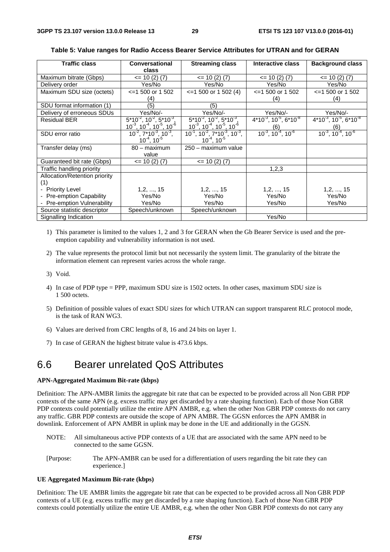| <b>Traffic class</b>             | Conversational                                                              | <b>Streaming class</b>                                                             | Interactive class                                   | <b>Background class</b>                             |
|----------------------------------|-----------------------------------------------------------------------------|------------------------------------------------------------------------------------|-----------------------------------------------------|-----------------------------------------------------|
|                                  | class                                                                       |                                                                                    |                                                     |                                                     |
| Maximum bitrate (Gbps)           | $= 10(2)(7)$                                                                | $= 10(2)(7)$                                                                       | $= 10(2)(7)$                                        | $\leq$ 10 (2) (7)                                   |
| Delivery order                   | Yes/No                                                                      | Yes/No                                                                             | Yes/No                                              | Yes/No                                              |
| Maximum SDU size (octets)        | $\leq$ 1 500 or 1 502                                                       | $\leq$ 1 500 or 1 502 (4)                                                          | $\leq$ 1 500 or 1 502                               | $\leq$ 1 500 or 1 502                               |
|                                  | (4)                                                                         |                                                                                    | (4)                                                 | (4)                                                 |
| SDU format information (1)       | (5)                                                                         | (5)                                                                                |                                                     |                                                     |
| Delivery of erroneous SDUs       | Yes/No/-                                                                    | Yes/No/-                                                                           | Yes/No/-                                            | Yes/No/-                                            |
| <b>Residual BER</b>              | $5*10^{-2}$ , $10^{-2}$ , $5*10^{-3}$ ,                                     | $5*10^{-2}$ , $10^{-2}$ , $5*10^{-3}$ ,                                            | $4*10^{-3}$ , 10 <sup>-5</sup> , 6*10 <sup>-8</sup> | $4*10^{-3}$ , 10 <sup>-5</sup> , 6*10 <sup>-8</sup> |
|                                  | $\frac{10^{-3}, 10^{-4}, 10^{-5}, 10^{-6}}{10^{-2}, 7^{*}10^{-3}, 10^{-3}}$ | $\frac{10^{-3}, 10^{-4}, 10^{-5}, 10^{-6}}{10^{-1}, 10^{-2}, 7*10^{-3}, 10^{-3},}$ | $\frac{(6)}{10^{-3}, 10^{-4}, 10^{-6}}$             | $\frac{(6)}{10^{-3}, 10^{-4}, 10^{-6}}$             |
| SDU error ratio                  |                                                                             |                                                                                    |                                                     |                                                     |
|                                  | $10^{-4}$ , $10^{-5}$                                                       | $10^{-4}$ , $10^{-5}$                                                              |                                                     |                                                     |
| Transfer delay (ms)              | 80 - maximum                                                                | 250 - maximum value                                                                |                                                     |                                                     |
|                                  | value                                                                       |                                                                                    |                                                     |                                                     |
| Guaranteed bit rate (Gbps)       | $\leq$ 10 (2) (7)                                                           | $= 10(2)(7)$                                                                       |                                                     |                                                     |
| Traffic handling priority        |                                                                             |                                                                                    | 1,2,3                                               |                                                     |
| Allocation/Retention priority    |                                                                             |                                                                                    |                                                     |                                                     |
| (1)                              |                                                                             |                                                                                    |                                                     |                                                     |
| - Priority Level                 | 1, 2, , 15                                                                  | 1, 2, , 15                                                                         | 1, 2, , 15                                          | 1, 2, , 15                                          |
| - Pre-emption Capability         | Yes/No                                                                      | Yes/No                                                                             | Yes/No                                              | Yes/No                                              |
| <b>Pre-emption Vulnerability</b> | Yes/No                                                                      | Yes/No                                                                             | Yes/No                                              | Yes/No                                              |
| Source statistic descriptor      | Speech/unknown                                                              | Speech/unknown                                                                     |                                                     |                                                     |
| Signalling Indication            |                                                                             |                                                                                    | Yes/No                                              |                                                     |

**Table 5: Value ranges for Radio Access Bearer Service Attributes for UTRAN and for GERAN** 

1) This parameter is limited to the values 1, 2 and 3 for GERAN when the Gb Bearer Service is used and the preemption capability and vulnerability information is not used.

2) The value represents the protocol limit but not necessarily the system limit. The granularity of the bitrate the information element can represent varies across the whole range.

- 3) Void.
- 4) In case of PDP type = PPP, maximum SDU size is 1502 octets. In other cases, maximum SDU size is 1 500 octets.
- 5) Definition of possible values of exact SDU sizes for which UTRAN can support transparent RLC protocol mode, is the task of RAN WG3.
- 6) Values are derived from CRC lengths of 8, 16 and 24 bits on layer 1.
- 7) In case of GERAN the highest bitrate value is 473.6 kbps.

# 6.6 Bearer unrelated QoS Attributes

#### **APN-Aggregated Maximum Bit-rate (kbps)**

Definition: The APN-AMBR limits the aggregate bit rate that can be expected to be provided across all Non GBR PDP contexts of the same APN (e.g. excess traffic may get discarded by a rate shaping function). Each of those Non GBR PDP contexts could potentially utilize the entire APN AMBR, e.g. when the other Non GBR PDP contexts do not carry any traffic. GBR PDP contexts are outside the scope of APN AMBR. The GGSN enforces the APN AMBR in downlink. Enforcement of APN AMBR in uplink may be done in the UE and additionally in the GGSN.

- NOTE: All simultaneous active PDP contexts of a UE that are associated with the same APN need to be connected to the same GGSN.
- [Purpose: The APN-AMBR can be used for a differentiation of users regarding the bit rate they can experience.]

#### **UE Aggregated Maximum Bit-rate (kbps)**

Definition: The UE AMBR limits the aggregate bit rate that can be expected to be provided across all Non GBR PDP contexts of a UE (e.g. excess traffic may get discarded by a rate shaping function). Each of those Non GBR PDP contexts could potentially utilize the entire UE AMBR, e.g. when the other Non GBR PDP contexts do not carry any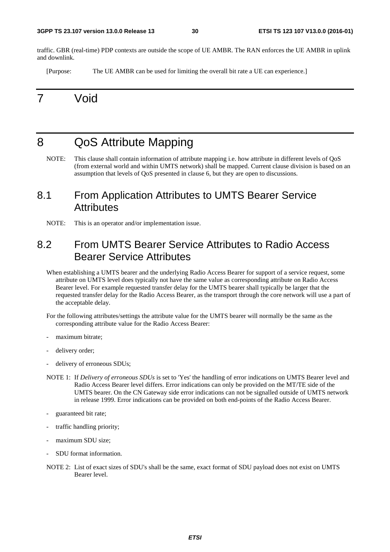traffic. GBR (real-time) PDP contexts are outside the scope of UE AMBR. The RAN enforces the UE AMBR in uplink and downlink.

[Purpose: The UE AMBR can be used for limiting the overall bit rate a UE can experience.]

7 Void

# 8 QoS Attribute Mapping

NOTE: This clause shall contain information of attribute mapping i.e. how attribute in different levels of QoS (from external world and within UMTS network) shall be mapped. Current clause division is based on an assumption that levels of QoS presented in clause 6, but they are open to discussions.

# 8.1 From Application Attributes to UMTS Bearer Service **Attributes**

NOTE: This is an operator and/or implementation issue.

# 8.2 From UMTS Bearer Service Attributes to Radio Access Bearer Service Attributes

When establishing a UMTS bearer and the underlying Radio Access Bearer for support of a service request, some attribute on UMTS level does typically not have the same value as corresponding attribute on Radio Access Bearer level. For example requested transfer delay for the UMTS bearer shall typically be larger that the requested transfer delay for the Radio Access Bearer, as the transport through the core network will use a part of the acceptable delay.

For the following attributes/settings the attribute value for the UMTS bearer will normally be the same as the corresponding attribute value for the Radio Access Bearer:

- maximum bitrate:
- delivery order;
- delivery of erroneous SDUs;
- NOTE 1: If *Delivery of erroneous SDUs* is set to 'Yes' the handling of error indications on UMTS Bearer level and Radio Access Bearer level differs. Error indications can only be provided on the MT/TE side of the UMTS bearer. On the CN Gateway side error indications can not be signalled outside of UMTS network in release 1999. Error indications can be provided on both end-points of the Radio Access Bearer.
- guaranteed bit rate;
- traffic handling priority;
- maximum SDU size:
- SDU format information.
- NOTE 2: List of exact sizes of SDU's shall be the same, exact format of SDU payload does not exist on UMTS Bearer level.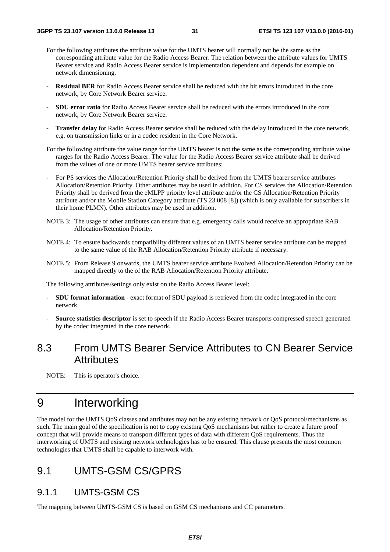- For the following attributes the attribute value for the UMTS bearer will normally not be the same as the corresponding attribute value for the Radio Access Bearer. The relation between the attribute values for UMTS Bearer service and Radio Access Bearer service is implementation dependent and depends for example on network dimensioning.
- **Residual BER** for Radio Access Bearer service shall be reduced with the bit errors introduced in the core network, by Core Network Bearer service.
- **SDU error ratio** for Radio Access Bearer service shall be reduced with the errors introduced in the core network, by Core Network Bearer service.
- **Transfer delay** for Radio Access Bearer service shall be reduced with the delay introduced in the core network, e.g. on transmission links or in a codec resident in the Core Network.

For the following attribute the value range for the UMTS bearer is not the same as the corresponding attribute value ranges for the Radio Access Bearer. The value for the Radio Access Bearer service attribute shall be derived from the values of one or more UMTS bearer service attributes:

- For PS services the Allocation/Retention Priority shall be derived from the UMTS bearer service attributes Allocation/Retention Priority. Other attributes may be used in addition. For CS services the Allocation/Retention Priority shall be derived from the eMLPP priority level attribute and/or the CS Allocation/Retention Priority attribute and/or the Mobile Station Category attribute (TS 23.008 [8]) (which is only available for subscribers in their home PLMN). Other attributes may be used in addition.
- NOTE 3: The usage of other attributes can ensure that e.g. emergency calls would receive an appropriate RAB Allocation/Retention Priority.
- NOTE 4: To ensure backwards compatibility different values of an UMTS bearer service attribute can be mapped to the same value of the RAB Allocation/Retention Priority attribute if necessary.
- NOTE 5: From Release 9 onwards, the UMTS bearer service attribute Evolved Allocation/Retention Priority can be mapped directly to the of the RAB Allocation/Retention Priority attribute.

The following attributes/settings only exist on the Radio Access Bearer level:

- **SDU format information** exact format of SDU payload is retrieved from the codec integrated in the core network.
- **Source statistics descriptor** is set to speech if the Radio Access Bearer transports compressed speech generated by the codec integrated in the core network.

# 8.3 From UMTS Bearer Service Attributes to CN Bearer Service **Attributes**

NOTE: This is operator's choice.

# 9 Interworking

The model for the UMTS QoS classes and attributes may not be any existing network or QoS protocol/mechanisms as such. The main goal of the specification is not to copy existing QoS mechanisms but rather to create a future proof concept that will provide means to transport different types of data with different QoS requirements. Thus the interworking of UMTS and existing network technologies has to be ensured. This clause presents the most common technologies that UMTS shall be capable to interwork with.

# 9.1 UMTS-GSM CS/GPRS

### 9.1.1 UMTS-GSM CS

The mapping between UMTS-GSM CS is based on GSM CS mechanisms and CC parameters.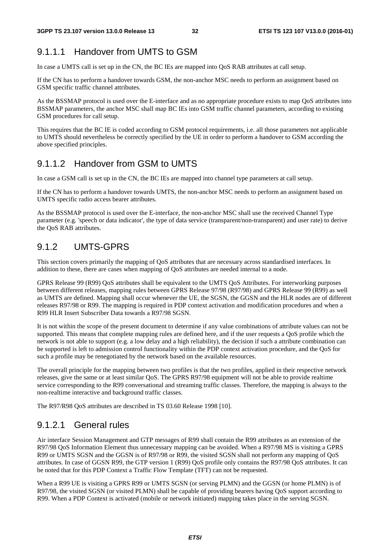# 9.1.1.1 Handover from UMTS to GSM

In case a UMTS call is set up in the CN, the BC IEs are mapped into QoS RAB attributes at call setup.

If the CN has to perform a handover towards GSM, the non-anchor MSC needs to perform an assignment based on GSM specific traffic channel attributes.

As the BSSMAP protocol is used over the E-interface and as no appropriate procedure exists to map QoS attributes into BSSMAP parameters, the anchor MSC shall map BC IEs into GSM traffic channel parameters, according to existing GSM procedures for call setup.

This requires that the BC IE is coded according to GSM protocol requirements, i.e. all those parameters not applicable to UMTS should nevertheless be correctly specified by the UE in order to perform a handover to GSM according the above specified principles.

### 9.1.1.2 Handover from GSM to UMTS

In case a GSM call is set up in the CN, the BC IEs are mapped into channel type parameters at call setup.

If the CN has to perform a handover towards UMTS, the non-anchor MSC needs to perform an assignment based on UMTS specific radio access bearer attributes.

As the BSSMAP protocol is used over the E-interface, the non-anchor MSC shall use the received Channel Type parameter (e.g. 'speech or data indicator', the type of data service (transparent/non-transparent) and user rate) to derive the QoS RAB attributes.

### 9.1.2 UMTS-GPRS

This section covers primarily the mapping of QoS attributes that are necessary across standardised interfaces. In addition to these, there are cases when mapping of QoS attributes are needed internal to a node.

GPRS Release 99 (R99) QoS attributes shall be equivalent to the UMTS QoS Attributes. For interworking purposes between different releases, mapping rules between GPRS Release 97/98 (R97/98) and GPRS Release 99 (R99) as well as UMTS are defined. Mapping shall occur whenever the UE, the SGSN, the GGSN and the HLR nodes are of different releases R97/98 or R99. The mapping is required in PDP context activation and modification procedures and when a R99 HLR Insert Subscriber Data towards a R97/98 SGSN.

It is not within the scope of the present document to determine if any value combinations of attribute values can not be supported. This means that complete mapping rules are defined here, and if the user requests a QoS profile which the network is not able to support (e.g. a low delay and a high reliability), the decision if such a attribute combination can be supported is left to admission control functionality within the PDP context activation procedure, and the QoS for such a profile may be renegotiated by the network based on the available resources.

The overall principle for the mapping between two profiles is that the two profiles, applied in their respective network releases, give the same or at least similar QoS. The GPRS R97/98 equipment will not be able to provide realtime service corresponding to the R99 conversational and streaming traffic classes. Therefore, the mapping is always to the non-realtime interactive and background traffic classes.

The R97/R98 QoS attributes are described in TS 03.60 Release 1998 [10].

### 9.1.2.1 General rules

Air interface Session Management and GTP messages of R99 shall contain the R99 attributes as an extension of the R97/98 QoS Information Element thus unnecessary mapping can be avoided. When a R97/98 MS is visiting a GPRS R99 or UMTS SGSN and the GGSN is of R97/98 or R99, the visited SGSN shall not perform any mapping of QoS attributes. In case of GGSN R99, the GTP version 1 (R99) QoS profile only contains the R97/98 QoS attributes. It can be noted that for this PDP Context a Traffic Flow Template (TFT) can not be requested.

When a R99 UE is visiting a GPRS R99 or UMTS SGSN (or serving PLMN) and the GGSN (or home PLMN) is of R97/98, the visited SGSN (or visited PLMN) shall be capable of providing bearers having QoS support according to R99. When a PDP Context is activated (mobile or network initiated) mapping takes place in the serving SGSN.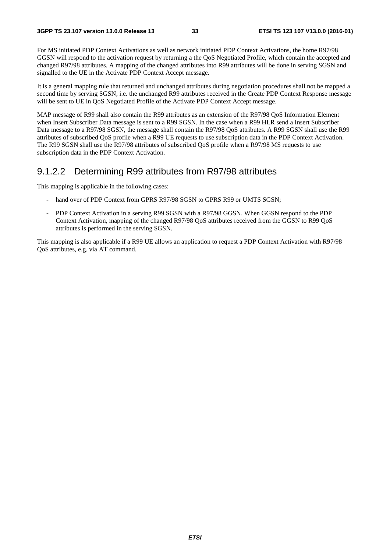For MS initiated PDP Context Activations as well as network initiated PDP Context Activations, the home R97/98 GGSN will respond to the activation request by returning a the QoS Negotiated Profile, which contain the accepted and changed R97/98 attributes. A mapping of the changed attributes into R99 attributes will be done in serving SGSN and signalled to the UE in the Activate PDP Context Accept message.

It is a general mapping rule that returned and unchanged attributes during negotiation procedures shall not be mapped a second time by serving SGSN, i.e. the unchanged R99 attributes received in the Create PDP Context Response message will be sent to UE in QoS Negotiated Profile of the Activate PDP Context Accept message.

MAP message of R99 shall also contain the R99 attributes as an extension of the R97/98 QoS Information Element when Insert Subscriber Data message is sent to a R99 SGSN. In the case when a R99 HLR send a Insert Subscriber Data message to a R97/98 SGSN, the message shall contain the R97/98 QoS attributes. A R99 SGSN shall use the R99 attributes of subscribed QoS profile when a R99 UE requests to use subscription data in the PDP Context Activation. The R99 SGSN shall use the R97/98 attributes of subscribed QoS profile when a R97/98 MS requests to use subscription data in the PDP Context Activation.

### 9.1.2.2 Determining R99 attributes from R97/98 attributes

This mapping is applicable in the following cases:

- hand over of PDP Context from GPRS R97/98 SGSN to GPRS R99 or UMTS SGSN;
- PDP Context Activation in a serving R99 SGSN with a R97/98 GGSN. When GGSN respond to the PDP Context Activation, mapping of the changed R97/98 QoS attributes received from the GGSN to R99 QoS attributes is performed in the serving SGSN.

This mapping is also applicable if a R99 UE allows an application to request a PDP Context Activation with R97/98 QoS attributes, e.g. via AT command.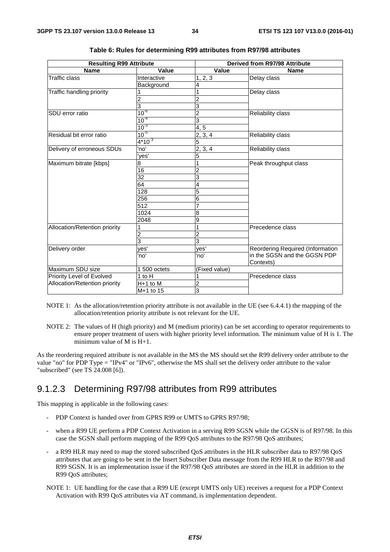| <b>Resulting R99 Attribute</b> |                  |                | Derived from R97/98 Attribute             |  |  |
|--------------------------------|------------------|----------------|-------------------------------------------|--|--|
| <b>Name</b>                    | Value            | Value          | <b>Name</b>                               |  |  |
| <b>Traffic class</b>           | Interactive      | 1, 2, 3        | Delay class                               |  |  |
|                                | Background       | 4              |                                           |  |  |
| Traffic handling priority      |                  |                | Delay class                               |  |  |
|                                | $\overline{c}$   | $\overline{c}$ |                                           |  |  |
|                                | 3                | 3              |                                           |  |  |
| SDU error ratio                | $10^{-6}$        | $\overline{2}$ | Reliability class                         |  |  |
|                                | $10^{-4}$        | 3              |                                           |  |  |
|                                | $10^{-3}$        | 4, 5           |                                           |  |  |
| Residual bit error ratio       | $10^{-5}$        | 2, 3, 4        | Reliability class                         |  |  |
|                                | $4*10^{3}$       | 5              |                                           |  |  |
| Delivery of erroneous SDUs     | $^{\prime}$ no'  | 2, 3, 4        | Reliability class                         |  |  |
|                                | 'yes'            | 5              |                                           |  |  |
| Maximum bitrate [kbps]         | 8                | 1              | Peak throughput class                     |  |  |
|                                | 16               | $\overline{c}$ |                                           |  |  |
|                                | $\overline{32}$  | 3              |                                           |  |  |
|                                | 64               | 4              |                                           |  |  |
|                                | $\overline{128}$ | $\overline{5}$ |                                           |  |  |
|                                | 256              | 6              |                                           |  |  |
|                                | $\overline{512}$ | 7              |                                           |  |  |
|                                | 1024             | 8              |                                           |  |  |
|                                | 2048             | 9              |                                           |  |  |
| Allocation/Retention priority  |                  | 1              | Precedence class                          |  |  |
|                                | 2                | $\overline{c}$ |                                           |  |  |
|                                | 3                | 3              |                                           |  |  |
| Delivery order                 | yes'             | yes'           | Reordering Required (Information          |  |  |
|                                | 'no'             | 'no'           | in the SGSN and the GGSN PDP<br>Contexts) |  |  |
| Maximum SDU size               | 1 500 octets     | (Fixed value)  |                                           |  |  |
| Priority Level of Evolved      | 1 to H           | 1              | Precedence class                          |  |  |
| Allocation/Retention priority  | $H+1$ to M       | $\overline{2}$ |                                           |  |  |
|                                | M+1 to 15        | $\overline{3}$ |                                           |  |  |

**Table 6: Rules for determining R99 attributes from R97/98 attributes** 

- NOTE 1: As the allocation/retention priority attribute is not available in the UE (see 6.4.4.1) the mapping of the allocation/retention priority attribute is not relevant for the UE.
- NOTE 2: The values of H (high priority) and M (medium priority) can be set according to operator requirements to ensure proper treatment of users with higher priority level information. The minimum value of H is 1. The minimum value of M is  $H+1$ .

As the reordering required attribute is not available in the MS the MS should set the R99 delivery order attribute to the value "no" for PDP Type = "IPv4" or "IPv6", otherwise the MS shall set the delivery order attribute to the value "subscribed" (see TS 24.008 [6]).

### 9.1.2.3 Determining R97/98 attributes from R99 attributes

This mapping is applicable in the following cases:

- PDP Context is handed over from GPRS R99 or UMTS to GPRS R97/98;
- when a R99 UE perform a PDP Context Activation in a serving R99 SGSN while the GGSN is of R97/98. In this case the SGSN shall perform mapping of the R99 QoS attributes to the R97/98 QoS attributes;
- a R99 HLR may need to map the stored subscribed QoS attributes in the HLR subscriber data to R97/98 QoS attributes that are going to be sent in the Insert Subscriber Data message from the R99 HLR to the R97/98 and R99 SGSN. It is an implementation issue if the R97/98 QoS attributes are stored in the HLR in addition to the R99 QoS attributes;
- NOTE 1: UE handling for the case that a R99 UE (except UMTS only UE) receives a request for a PDP Context Activation with R99 QoS attributes via AT command, is implementation dependent.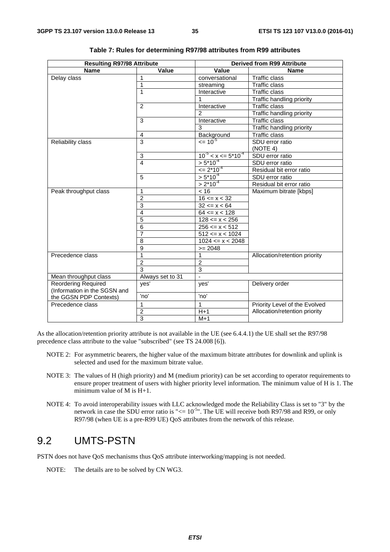| <b>Resulting R97/98 Attribute</b> |                  | <b>Derived from R99 Attribute</b> |                               |  |
|-----------------------------------|------------------|-----------------------------------|-------------------------------|--|
| Value<br><b>Name</b>              |                  | Value                             | <b>Name</b>                   |  |
| Delay class                       |                  | conversational                    | <b>Traffic class</b>          |  |
|                                   | 1                | streaming                         | <b>Traffic class</b>          |  |
|                                   | $\mathbf{1}$     | Interactive                       | <b>Traffic class</b>          |  |
|                                   |                  |                                   | Traffic handling priority     |  |
|                                   | $\overline{2}$   | Interactive                       | <b>Traffic class</b>          |  |
|                                   |                  | 2                                 | Traffic handling priority     |  |
|                                   | 3                | Interactive                       | <b>Traffic class</b>          |  |
|                                   |                  | 3                                 | Traffic handling priority     |  |
|                                   | 4                | Background                        | <b>Traffic class</b>          |  |
| Reliability class                 | $\overline{3}$   | $\leq 10^{-5}$                    | SDU error ratio               |  |
|                                   |                  |                                   | (NOTE 4)                      |  |
|                                   | 3                | $10^{-5}$ < x <= $5*10^{-4}$      | SDU error ratio               |  |
|                                   | $\overline{4}$   | $> 5*10^{-4}$                     | SDU error ratio               |  |
|                                   |                  | $\leq$ 2*10 <sup>-4</sup>         | Residual bit error ratio      |  |
|                                   | 5                | $> 5*10^{-4}$                     | SDU error ratio               |  |
|                                   |                  | $> 2*10^{-4}$                     | Residual bit error ratio      |  |
| Peak throughput class             | 1                | < 16                              | Maximum bitrate [kbps]        |  |
|                                   | $\overline{c}$   | $16 \le x \le 32$                 |                               |  |
|                                   | 3                | $32 \le x \le 64$                 |                               |  |
|                                   | $\overline{4}$   | $64 \le x \le 128$                |                               |  |
|                                   | $\overline{5}$   | $128 \le x \le 256$               |                               |  |
|                                   | 6                | $256 \le x \le 512$               |                               |  |
|                                   | 7                | $512 \le x \le 1024$              |                               |  |
|                                   | 8                | $1024 \le x \le 2048$             |                               |  |
|                                   | $\overline{9}$   | $>= 2048$                         |                               |  |
| Precedence class                  | 1                | 1                                 | Allocation/retention priority |  |
|                                   | 2                | $\overline{2}$                    |                               |  |
|                                   | 3                | 3                                 |                               |  |
| Mean throughput class             | Always set to 31 |                                   |                               |  |
| Reordering Required               | yes'             | yes'                              | Delivery order                |  |
| (Information in the SGSN and      |                  |                                   |                               |  |
| the GGSN PDP Contexts)            | 'no'             | 'no'                              |                               |  |
| Precedence class                  | 1                | 1                                 | Priority Level of the Evolved |  |
|                                   | $\overline{2}$   | $H+1$                             | Allocation/retention priority |  |
|                                   | $\overline{3}$   | $M+1$                             |                               |  |

**Table 7: Rules for determining R97/98 attributes from R99 attributes** 

As the allocation/retention priority attribute is not available in the UE (see 6.4.4.1) the UE shall set the R97/98 precedence class attribute to the value "subscribed" (see TS 24.008 [6]).

- NOTE 2: For asymmetric bearers, the higher value of the maximum bitrate attributes for downlink and uplink is selected and used for the maximum bitrate value.
- NOTE 3: The values of H (high priority) and M (medium priority) can be set according to operator requirements to ensure proper treatment of users with higher priority level information. The minimum value of H is 1. The minimum value of M is  $H+1$ .
- NOTE 4: To avoid interoperability issues with LLC acknowledged mode the Reliability Class is set to "3" by the network in case the SDU error ratio is " $\leq 10^{-5}$ ". The UE will receive both R97/98 and R99, or only R97/98 (when UE is a pre-R99 UE) QoS attributes from the network of this release.

### 9.2 UMTS-PSTN

PSTN does not have QoS mechanisms thus QoS attribute interworking/mapping is not needed.

NOTE: The details are to be solved by CN WG3.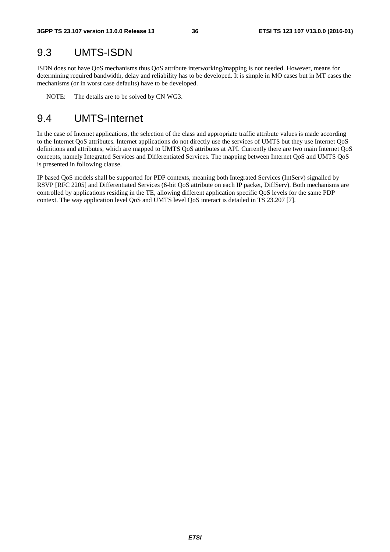# 9.3 UMTS-ISDN

ISDN does not have QoS mechanisms thus QoS attribute interworking/mapping is not needed. However, means for determining required bandwidth, delay and reliability has to be developed. It is simple in MO cases but in MT cases the mechanisms (or in worst case defaults) have to be developed.

NOTE: The details are to be solved by CN WG3.

# 9.4 UMTS-Internet

In the case of Internet applications, the selection of the class and appropriate traffic attribute values is made according to the Internet QoS attributes. Internet applications do not directly use the services of UMTS but they use Internet QoS definitions and attributes, which are mapped to UMTS QoS attributes at API. Currently there are two main Internet QoS concepts, namely Integrated Services and Differentiated Services. The mapping between Internet QoS and UMTS QoS is presented in following clause.

IP based QoS models shall be supported for PDP contexts, meaning both Integrated Services (IntServ) signalled by RSVP [RFC 2205] and Differentiated Services (6-bit QoS attribute on each IP packet, DiffServ). Both mechanisms are controlled by applications residing in the TE, allowing different application specific QoS levels for the same PDP context. The way application level QoS and UMTS level QoS interact is detailed in TS 23.207 [7].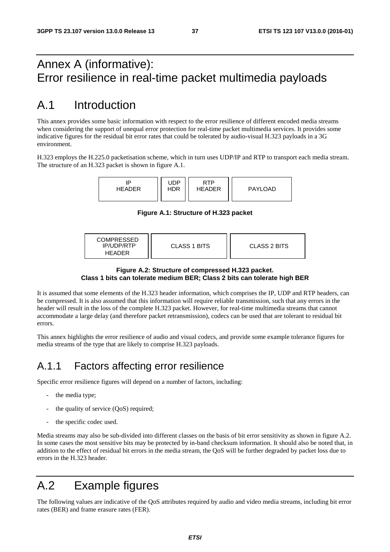# Annex A (informative): Error resilience in real-time packet multimedia payloads

# A.1 Introduction

This annex provides some basic information with respect to the error resilience of different encoded media streams when considering the support of unequal error protection for real-time packet multimedia services. It provides some indicative figures for the residual bit error rates that could be tolerated by audio-visual H.323 payloads in a 3G environment.

H.323 employs the H.225.0 packetisation scheme, which in turn uses UDP/IP and RTP to transport each media stream. The structure of an H.323 packet is shown in figure A.1.



**Figure A.1: Structure of H.323 packet** 

| <b>COMPRESSED</b><br><b>IP/UDP/RTP</b><br><b>HEADER</b> | <b>CLASS 1 BITS</b> | CLASS 2 BITS |
|---------------------------------------------------------|---------------------|--------------|
|---------------------------------------------------------|---------------------|--------------|

#### **Figure A.2: Structure of compressed H.323 packet. Class 1 bits can tolerate medium BER; Class 2 bits can tolerate high BER**

It is assumed that some elements of the H.323 header information, which comprises the IP, UDP and RTP headers, can be compressed. It is also assumed that this information will require reliable transmission, such that any errors in the header will result in the loss of the complete H.323 packet. However, for real-time multimedia streams that cannot accommodate a large delay (and therefore packet retransmission), codecs can be used that are tolerant to residual bit errors.

This annex highlights the error resilience of audio and visual codecs, and provide some example tolerance figures for media streams of the type that are likely to comprise H.323 payloads.

# A.1.1 Factors affecting error resilience

Specific error resilience figures will depend on a number of factors, including:

- the media type;
- the quality of service  $(QoS)$  required;
- the specific codec used.

Media streams may also be sub-divided into different classes on the basis of bit error sensitivity as shown in figure A.2. In some cases the most sensitive bits may be protected by in-band checksum information. It should also be noted that, in addition to the effect of residual bit errors in the media stream, the QoS will be further degraded by packet loss due to errors in the H.323 header.

# A.2 Example figures

The following values are indicative of the QoS attributes required by audio and video media streams, including bit error rates (BER) and frame erasure rates (FER).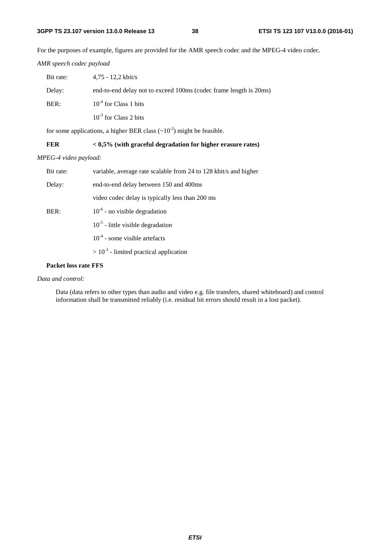#### **3GPP TS 23.107 version 13.0.0 Release 13 38 ETSI TS 123 107 V13.0.0 (2016-01)**

For the purposes of example, figures are provided for the AMR speech codec and the MPEG-4 video codec.

*AMR speech codec payload* 

| Bit rate: | $4.75 - 12.2$ kbit/s                                              |
|-----------|-------------------------------------------------------------------|
| Delay:    | end-to-end delay not to exceed 100ms (codec frame length is 20ms) |
| BER:      | $10^{-4}$ for Class 1 bits                                        |
|           | $10^{-3}$ for Class 2 bits                                        |

for some applications, a higher BER class  $(\sim 10^{-2})$  might be feasible.

#### **FER < 0,5% (with graceful degradation for higher erasure rates)**

#### *MPEG-4 video payload:*

| Bit rate: | variable, average rate scalable from 24 to 128 kbit/s and higher |  |  |  |  |
|-----------|------------------------------------------------------------------|--|--|--|--|
| Delay:    | end-to-end delay between 150 and 400ms                           |  |  |  |  |
|           | video codec delay is typically less than 200 ms                  |  |  |  |  |
| BER:      | $10^{-6}$ - no visible degradation                               |  |  |  |  |
|           | $10^{-5}$ - little visible degradation                           |  |  |  |  |
|           | $10^{-4}$ - some visible artefacts                               |  |  |  |  |
|           | $> 10^{-3}$ - limited practical application                      |  |  |  |  |

#### **Packet loss rate FFS**

#### *Data and control:*

 Data (data refers to other types than audio and video e.g. file transfers, shared whiteboard) and control information shall be transmitted reliably (i.e. residual bit errors should result in a lost packet).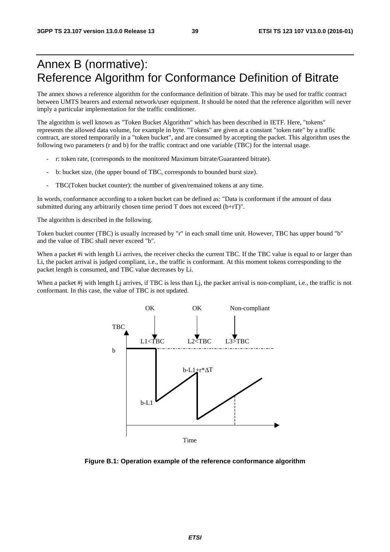# Annex B (normative): Reference Algorithm for Conformance Definition of Bitrate

The annex shows a reference algorithm for the conformance definition of bitrate. This may be used for traffic contract between UMTS bearers and external network/user equipment. It should be noted that the reference algorithm will never imply a particular implementation for the traffic conditioner.

The algorithm is well known as "Token Bucket Algorithm" which has been described in IETF. Here, "tokens" represents the allowed data volume, for example in byte. "Tokens" are given at a constant "token rate" by a traffic contract, are stored temporarily in a "token bucket", and are consumed by accepting the packet. This algorithm uses the following two parameters (r and b) for the traffic contract and one variable (TBC) for the internal usage.

- r: token rate, (corresponds to the monitored Maximum bitrate/Guaranteed bitrate).
- b: bucket size, (the upper bound of TBC, corresponds to bounded burst size).
- TBC(Token bucket counter): the number of given/remained tokens at any time.

In words, conformance according to a token bucket can be defined as: "Data is conformant if the amount of data submitted during any arbitrarily chosen time period T does not exceed (b+rT)".

The algorithm is described in the following.

Token bucket counter (TBC) is usually increased by "r" in each small time unit. However, TBC has upper bound "b" and the value of TBC shall never exceed "b".

When a packet #i with length Li arrives, the receiver checks the current TBC. If the TBC value is equal to or larger than Li, the packet arrival is judged compliant, i.e., the traffic is conformant. At this moment tokens corresponding to the packet length is consumed, and TBC value decreases by Li.

When a packet #j with length Lj arrives, if TBC is less than Lj, the packet arrival is non-compliant, i.e., the traffic is not conformant. In this case, the value of TBC is not updated.



**Figure B.1: Operation example of the reference conformance algorithm**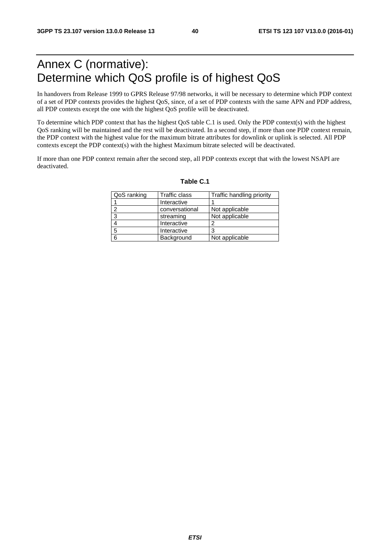# Annex C (normative): Determine which QoS profile is of highest QoS

In handovers from Release 1999 to GPRS Release 97/98 networks, it will be necessary to determine which PDP context of a set of PDP contexts provides the highest QoS, since, of a set of PDP contexts with the same APN and PDP address, all PDP contexts except the one with the highest QoS profile will be deactivated.

To determine which PDP context that has the highest QoS table C.1 is used. Only the PDP context(s) with the highest QoS ranking will be maintained and the rest will be deactivated. In a second step, if more than one PDP context remain, the PDP context with the highest value for the maximum bitrate attributes for downlink or uplink is selected. All PDP contexts except the PDP context(s) with the highest Maximum bitrate selected will be deactivated.

If more than one PDP context remain after the second step, all PDP contexts except that with the lowest NSAPI are deactivated.

| QoS ranking | <b>Traffic class</b> | Traffic handling priority |
|-------------|----------------------|---------------------------|
|             | Interactive          |                           |
| 2           | conversational       | Not applicable            |
| . 3         | streaming            | Not applicable            |
|             | Interactive          |                           |
| -5          | Interactive          |                           |
| 6           | Background           | Not applicable            |

#### **Table C.1**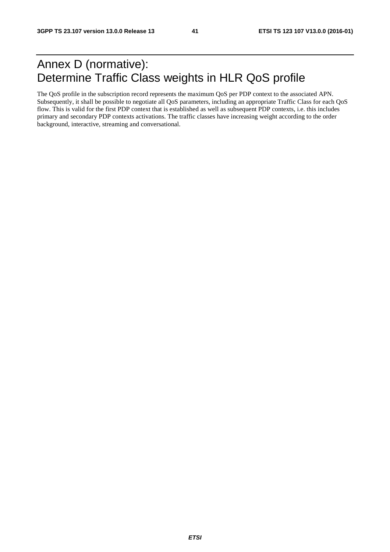# Annex D (normative): Determine Traffic Class weights in HLR QoS profile

The QoS profile in the subscription record represents the maximum QoS per PDP context to the associated APN. Subsequently, it shall be possible to negotiate all QoS parameters, including an appropriate Traffic Class for each QoS flow. This is valid for the first PDP context that is established as well as subsequent PDP contexts, i.e. this includes primary and secondary PDP contexts activations. The traffic classes have increasing weight according to the order background, interactive, streaming and conversational.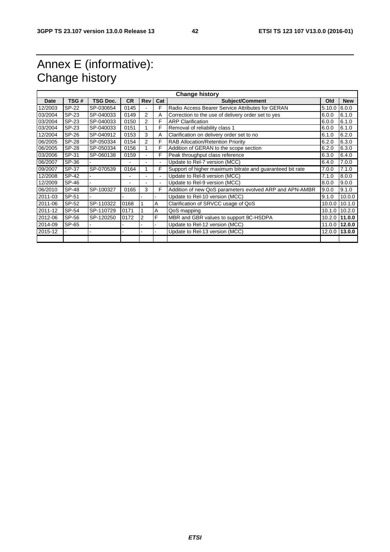# Annex E (informative): Change history

| <b>Change history</b> |              |           |           |                |     |                                                           |        |            |
|-----------------------|--------------|-----------|-----------|----------------|-----|-----------------------------------------------------------|--------|------------|
| Date                  | TSG#         | TSG Doc.  | <b>CR</b> | <b>Rev</b>     | Cat | Subject/Comment                                           | Old    | <b>New</b> |
| 12/2003               | SP-22        | SP-030654 | 0145      |                | F   | Radio Access Bearer Service Attributes for GERAN          | 5.10.0 | 6.0.0      |
| 03/2004               | SP-23        | SP-040033 | 0149      | 2              | А   | Correction to the use of delivery order set to yes        | 6.0.0  | 6.1.0      |
| 03/2004               | SP-23        | SP-040033 | 0150      | $\overline{2}$ | F   | <b>ARP Clarification</b>                                  | 6.0.0  | 6.1.0      |
| 03/2004               | SP-23        | SP-040033 | 0151      |                | F   | Removal of reliability class 1                            | 6.0.0  | 6.1.0      |
| 12/2004               | SP-26        | SP-040912 | 0153      | 3              | Α   | Clarification on delivery order set to no                 | 6.1.0  | 6.2.0      |
| 06/2005               | <b>SP-28</b> | SP-050334 | 0154      | $\overline{2}$ | F   | <b>RAB Allocation/Retention Priority</b>                  | 6.2.0  | 6.3.0      |
| 06/2005               | SP-28        | SP-050334 | 0156      |                | F   | Addition of GERAN to the scope section                    | 6.2.0  | 6.3.0      |
| 03/2006               | SP-31        | SP-060138 | 0159      |                | F   | Peak throughput class reference                           | 6.3.0  | 6.4.0      |
| 06/2007               | SP-36        |           |           |                |     | Update to Rel-7 version (MCC)                             | 6.4.0  | 7.0.0      |
| 09/2007               | SP-37        | SP-070539 | 0164      |                | F   | Support of higher maximum bitrate and quaranteed bit rate | 7.0.0  | 7.1.0      |
| 12/2008               | SP-42        |           |           |                |     | Update to Rel-8 version (MCC)                             | 7.1.0  | 8.0.0      |
| 12/2009               | SP-46        |           |           |                |     | Update to Rel-9 version (MCC)                             | 8.0.0  | 9.0.0      |
| 06/2010               | <b>SP-48</b> | SP-100327 | 0165      | 3              | F   | Addition of new QoS parameters evolved ARP and APN-AMBR   | 9.0.0  | 9.1.0      |
| 2011-03               | SP-51        |           |           |                |     | Update to Rel-10 version (MCC)                            | 9.1.0  | 10.0.0     |
| 2011-06               | SP-52        | SP-110322 | 0168      |                | A   | Clarification of SRVCC usage of QoS                       | 10.0.0 | 10.1.0     |
| 2011-12               | SP-54        | SP-110729 | 0171      |                | A   | QoS mapping                                               | 10.1.0 | 10.2.0     |
| 2012-06               | SP-56        | SP-120250 | 0172      | 2              | F   | MBR and GBR values to support 8C-HSDPA                    | 10.2.0 | 11.0.0     |
| 2014-09               | SP-65        |           |           |                |     | Update to Rel-12 version (MCC)                            | 11.0.0 | 12.0.0     |
| 2015-12               |              |           |           |                |     | Update to Rel-13 version (MCC)                            | 12.0.0 | 13.0.0     |
|                       |              |           |           |                |     |                                                           |        |            |